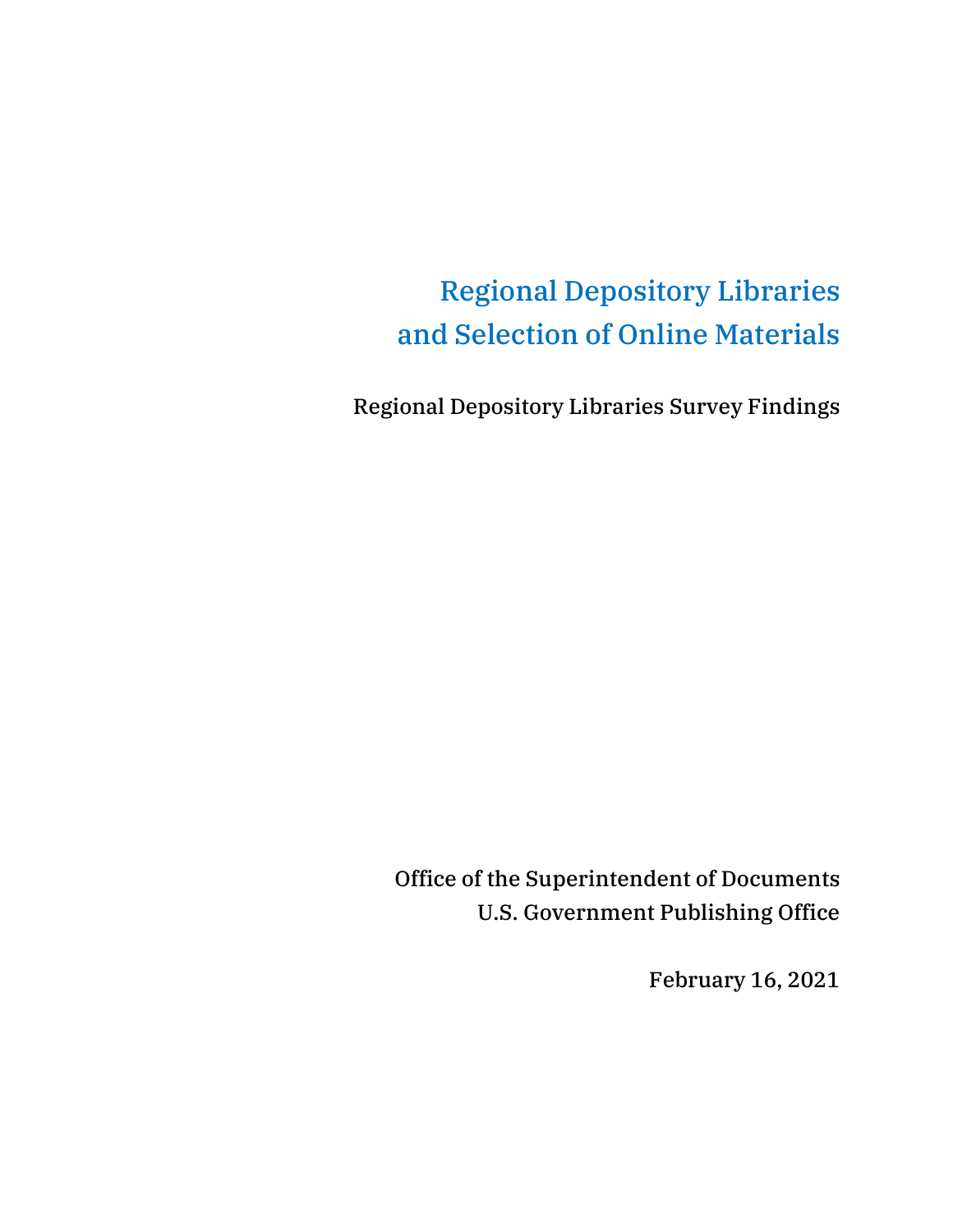# Regional Depository Libraries and Selection of Online Materials

Regional Depository Libraries Survey Findings

Office of the Superintendent of Documents U.S. Government Publishing Office

February 16, 2021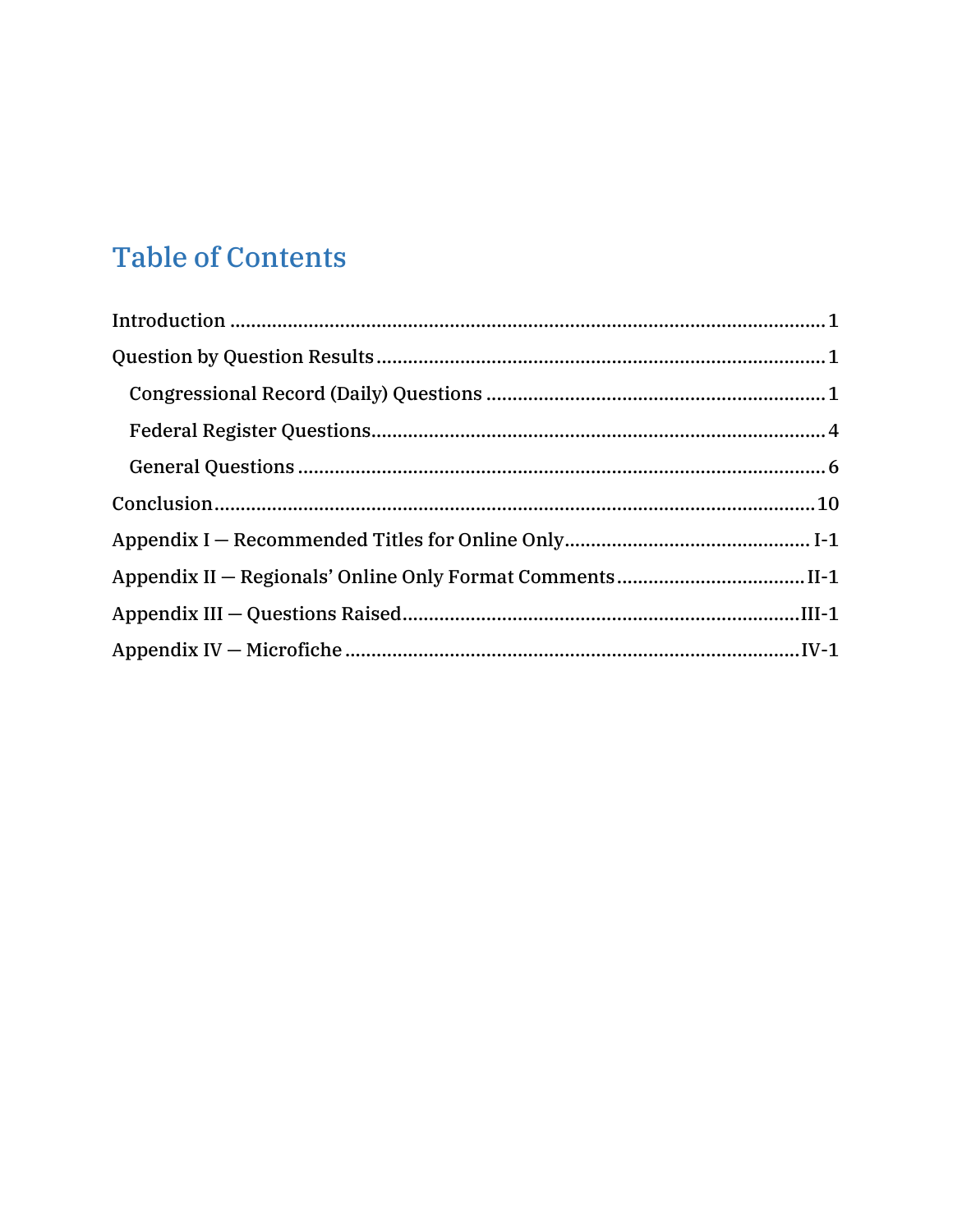# **Table of Contents**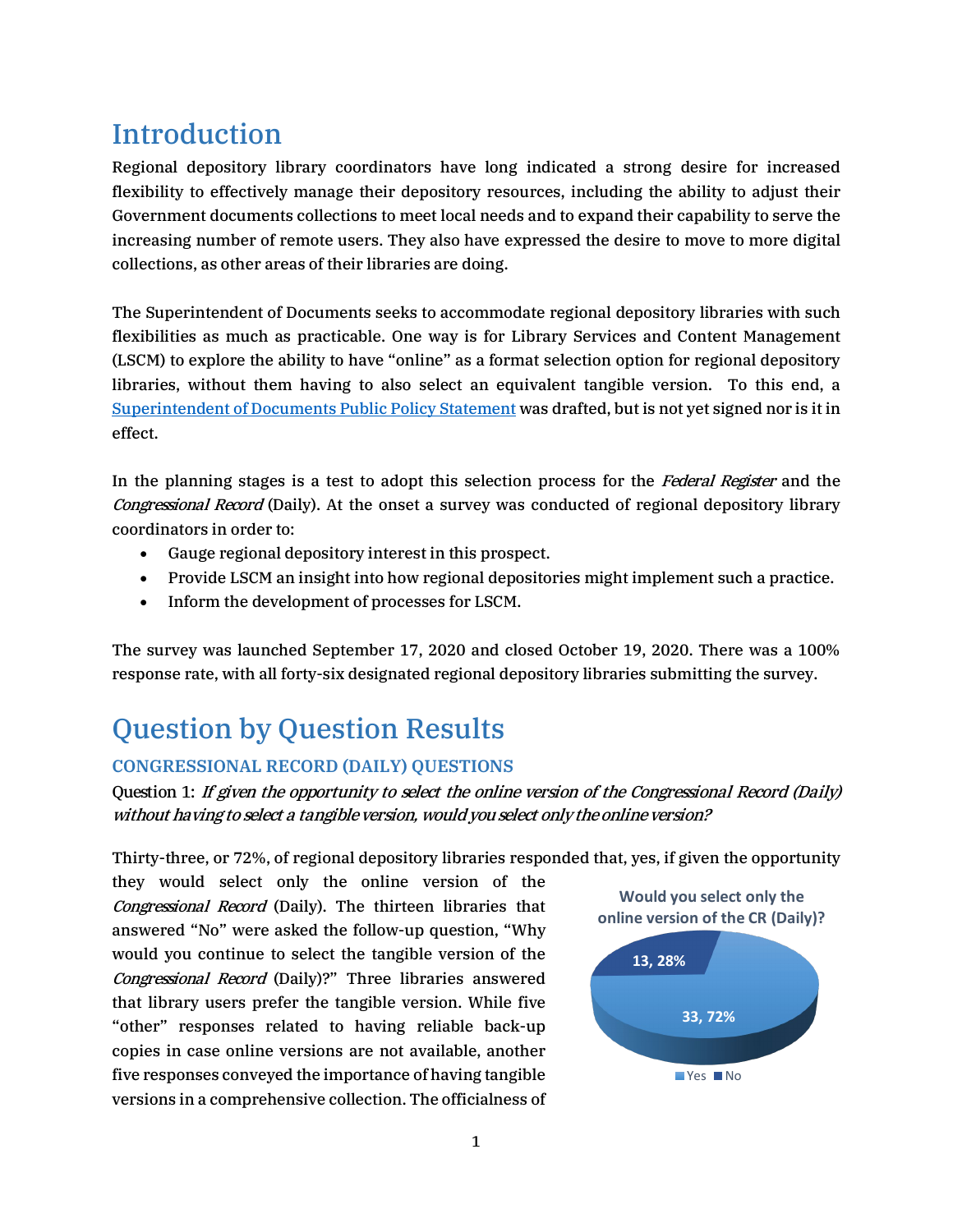# <span id="page-2-0"></span>Introduction

Regional depository library coordinators have long indicated a strong desire for increased flexibility to effectively manage their depository resources, including the ability to adjust their Government documents collections to meet local needs and to expand their capability to serve the increasing number of remote users. They also have expressed the desire to move to more digital collections, as other areas of their libraries are doing.

The Superintendent of Documents seeks to accommodate regional depository libraries with such flexibilities as much as practicable. One way is for Library Services and Content Management (LSCM) to explore the ability to have "online" as a format selection option for regional depository libraries, without them having to also select an equivalent tangible version. To this end, a [Superintendent of Documents Public Policy Statement](https://www.fdlp.gov/file-repository/about-the-fdlp/policies/superintendent-of-documents-public-policies/4583-superintendent-of-documents-draft-public-policy-statement-regional-depository-libraries-online-selections) was drafted, but is not yet signed nor is it in effect.

In the planning stages is a test to adopt this selection process for the Federal Register and the Congressional Record (Daily). At the onset a survey was conducted of regional depository library coordinators in order to:

- Gauge regional depository interest in this prospect.
- Provide LSCM an insight into how regional depositories might implement such a practice.
- Inform the development of processes for LSCM.

The survey was launched September 17, 2020 and closed October 19, 2020. There was a 100% response rate, with all forty-six designated regional depository libraries submitting the survey.

# <span id="page-2-1"></span>Question by Question Results

### <span id="page-2-2"></span>**CONGRESSIONAL RECORD (DAILY) QUESTIONS**

Question 1: If given the opportunity to select the online version of the Congressional Record (Daily) without having to select a tangible version, would you select only the online version?

Thirty-three, or 72%, of regional depository libraries responded that, yes, if given the opportunity

they would select only the online version of the Congressional Record (Daily). The thirteen libraries that answered "No" were asked the follow-up question, "Why would you continue to select the tangible version of the Congressional Record (Daily)?" Three libraries answered that library users prefer the tangible version. While five "other" responses related to having reliable back-up copies in case online versions are not available, another five responses conveyed the importance of having tangible versions in a comprehensive collection. The officialness of

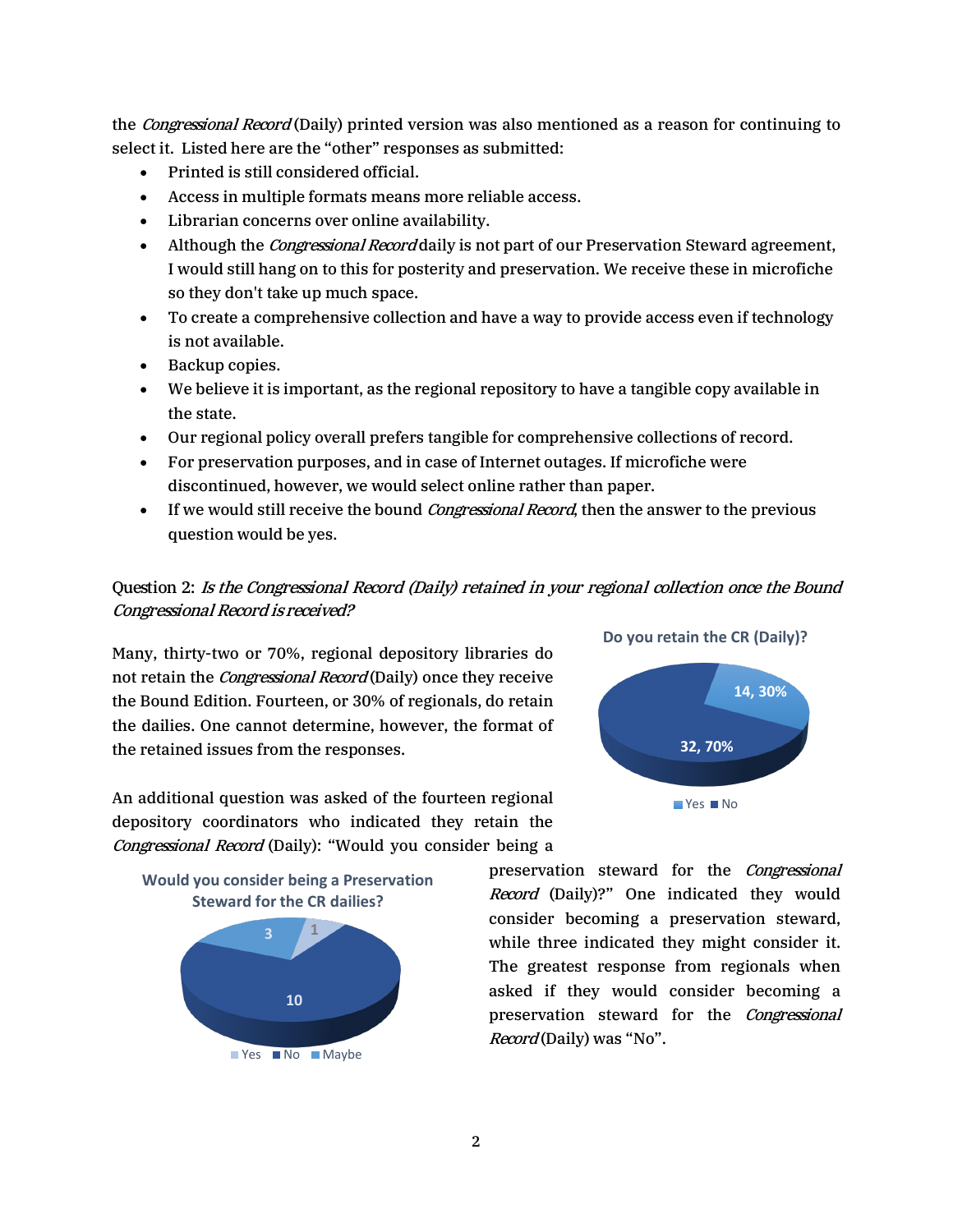the *Congressional Record* (Daily) printed version was also mentioned as a reason for continuing to select it. Listed here are the "other" responses as submitted:

- Printed is still considered official.
- Access in multiple formats means more reliable access.
- Librarian concerns over online availability.
- Although the *Congressional Record* daily is not part of our Preservation Steward agreement, I would still hang on to this for posterity and preservation. We receive these in microfiche so they don't take up much space.
- To create a comprehensive collection and have a way to provide access even if technology is not available.
- Backup copies.
- We believe it is important, as the regional repository to have a tangible copy available in the state.
- Our regional policy overall prefers tangible for comprehensive collections of record.
- For preservation purposes, and in case of Internet outages. If microfiche were discontinued, however, we would select online rather than paper.
- If we would still receive the bound *Congressional Record*, then the answer to the previous question would be yes.

### Question 2: Is the Congressional Record (Daily) retained in your regional collection once the Bound Congressional Record is received?

Many, thirty-two or 70%, regional depository libraries do not retain the Congressional Record (Daily) once they receive the Bound Edition. Fourteen, or 30% of regionals, do retain the dailies. One cannot determine, however, the format of the retained issues from the responses.

An additional question was asked of the fourteen regional depository coordinators who indicated they retain the Congressional Record (Daily): "Would you consider being a





preservation steward for the Congressional Record (Daily)?" One indicated they would consider becoming a preservation steward, while three indicated they might consider it. The greatest response from regionals when asked if they would consider becoming a preservation steward for the Congressional Record (Daily) was "No".

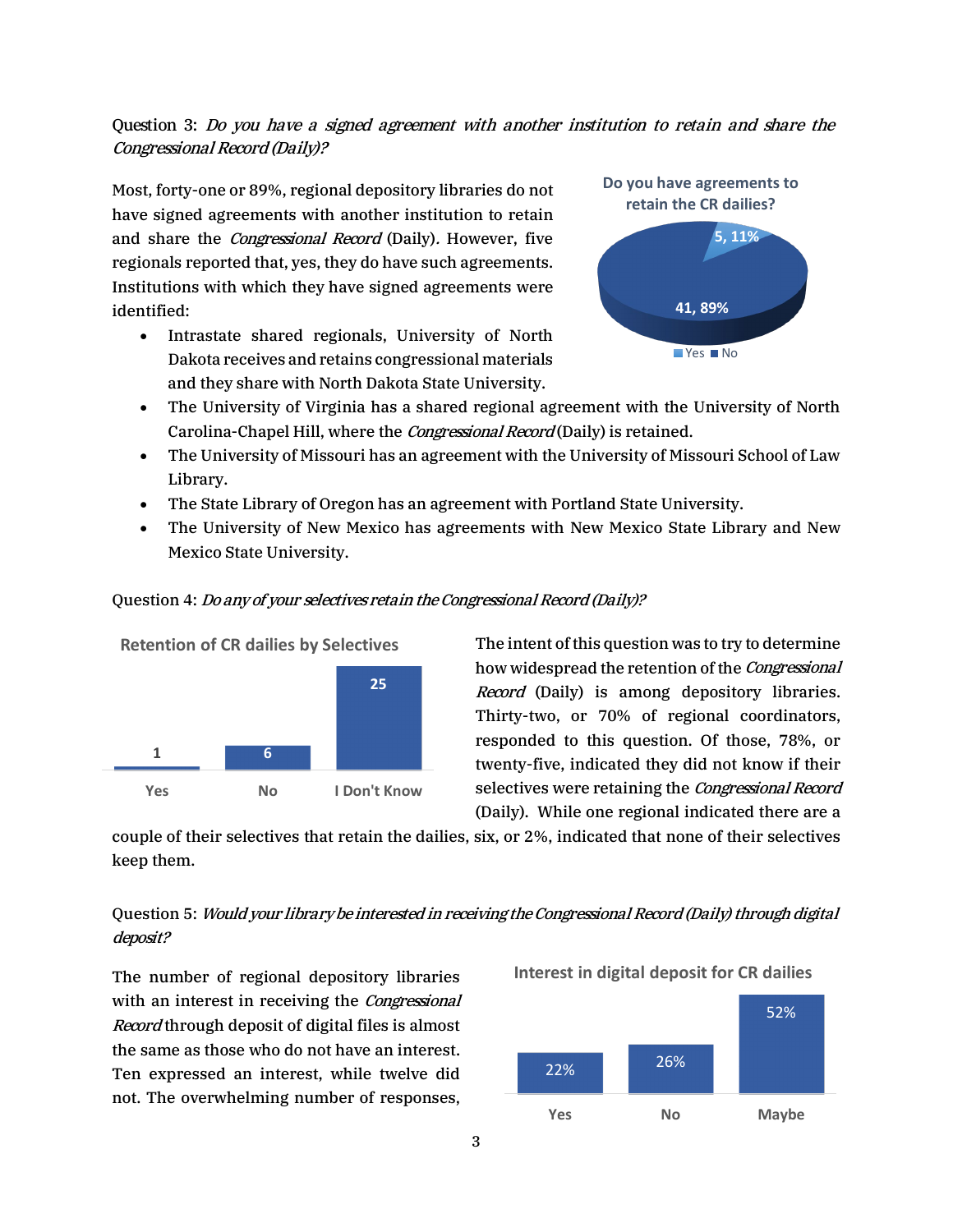### Question 3: Do you have a signed agreement with another institution to retain and share the Congressional Record(Daily)?

Most, forty-one or 89%, regional depository libraries do not have signed agreements with another institution to retain and share the Congressional Record (Daily). However, five regionals reported that, yes, they do have such agreements. Institutions with which they have signed agreements were identified:

• Intrastate shared regionals, University of North Dakota receives and retains congressional materials and they share with North Dakota State University.



- The University of Virginia has a shared regional agreement with the University of North Carolina-Chapel Hill, where the *Congressional Record* (Daily) is retained.
- The University of Missouri has an agreement with the University of Missouri School of Law Library.
- The State Library of Oregon has an agreement with Portland State University.
- The University of New Mexico has agreements with New Mexico State Library and New Mexico State University.



#### Question 4: *Do any of your selectives retain the Congressional Record (Daily)?*

The intent of this question was to try to determine how widespread the retention of the Congressional Record (Daily) is among depository libraries. Thirty-two, or 70% of regional coordinators, responded to this question. Of those, 78%, or twenty-five, indicated they did not know if their selectives were retaining the *Congressional Record* (Daily). While one regional indicated there are a

couple of their selectives that retain the dailies, six, or 2%, indicated that none of their selectives keep them.

### Question 5: Would your library be interested in receiving the Congressional Record(Daily) through digital deposit?

The number of regional depository libraries with an interest in receiving the Congressional Record through deposit of digital files is almost the same as those who do not have an interest. Ten expressed an interest, while twelve did not. The overwhelming number of responses,

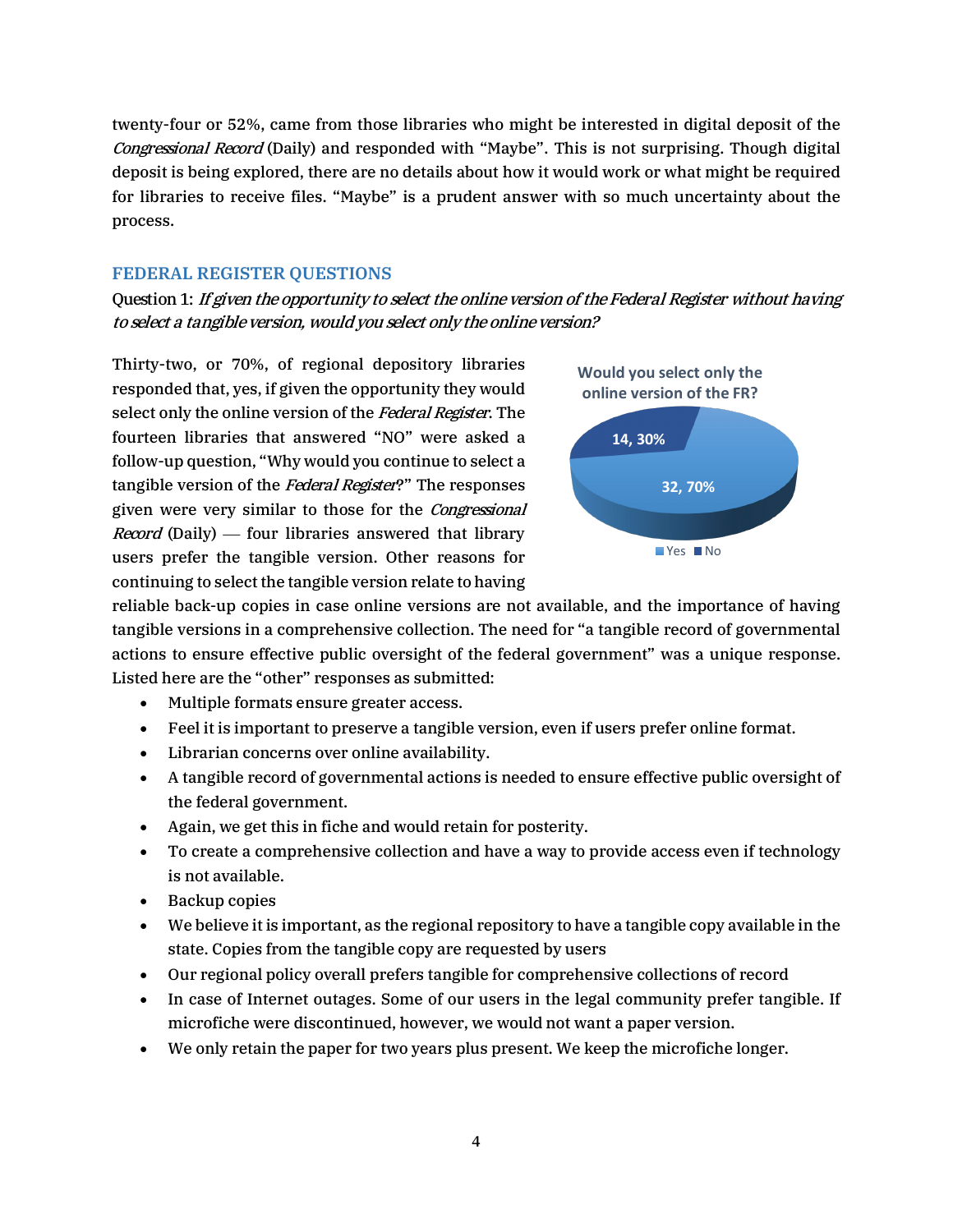twenty-four or 52%, came from those libraries who might be interested in digital deposit of the Congressional Record (Daily) and responded with "Maybe". This is not surprising. Though digital deposit is being explored, there are no details about how it would work or what might be required for libraries to receive files. "Maybe" is a prudent answer with so much uncertainty about the process.

### <span id="page-5-0"></span>**FEDERAL REGISTER QUESTIONS**

Question 1: If given the opportunity to select the online version of the Federal Register without having to select a tangible version, would you select only the online version?

Thirty-two, or 70%, of regional depository libraries responded that, yes, if given the opportunity they would select only the online version of the Federal Register. The fourteen libraries that answered "NO" were asked a follow-up question, "Why would you continue to select a tangible version of the Federal Register?" The responses given were very similar to those for the Congressional *Record* (Daily)  $-$  four libraries answered that library users prefer the tangible version. Other reasons for continuing to select the tangible version relate to having



reliable back-up copies in case online versions are not available, and the importance of having tangible versions in a comprehensive collection. The need for "a tangible record of governmental actions to ensure effective public oversight of the federal government" was a unique response. Listed here are the "other" responses as submitted:

- Multiple formats ensure greater access.
- Feel it is important to preserve a tangible version, even if users prefer online format.
- Librarian concerns over online availability.
- A tangible record of governmental actions is needed to ensure effective public oversight of the federal government.
- Again, we get this in fiche and would retain for posterity.
- To create a comprehensive collection and have a way to provide access even if technology is not available.
- Backup copies
- We believe it is important, as the regional repository to have a tangible copy available in the state. Copies from the tangible copy are requested by users
- Our regional policy overall prefers tangible for comprehensive collections of record
- In case of Internet outages. Some of our users in the legal community prefer tangible. If microfiche were discontinued, however, we would not want a paper version.
- We only retain the paper for two years plus present. We keep the microfiche longer.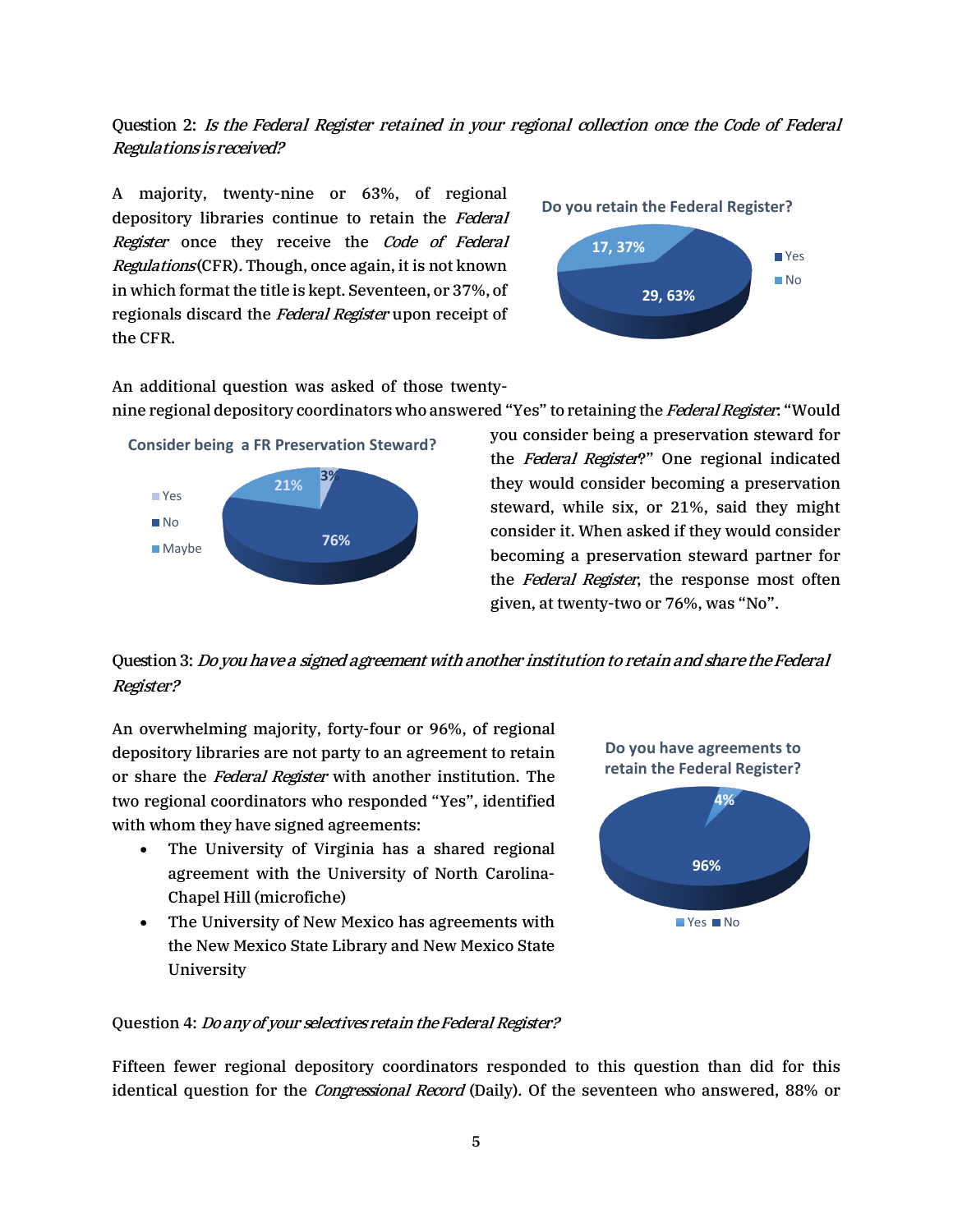### Question 2: Is the Federal Register retained in your regional collection once the Code of Federal Regulations is received?

A majority, twenty-nine or 63%, of regional depository libraries continue to retain the Federal Register once they receive the Code of Federal Regulations(CFR). Though, once again, it is not known in which format the title is kept. Seventeen, or 37%, of regionals discard the Federal Register upon receipt of the CFR.



An additional question was asked of those twenty-

nine regional depository coordinators who answered "Yes" to retaining the Federal Register: "Would



you consider being a preservation steward for the Federal Register?" One regional indicated they would consider becoming a preservation steward, while six, or 21%, said they might consider it. When asked if they would consider becoming a preservation steward partner for the Federal Register, the response most often given, at twenty-two or 76%, was "No".

Question 3: Do you have a signed agreement with another institution to retain and share the Federal Register?

An overwhelming majority, forty-four or 96%, of regional depository libraries are not party to an agreement to retain or share the *Federal Register* with another institution. The two regional coordinators who responded "Yes", identified with whom they have signed agreements:

- The University of Virginia has a shared regional agreement with the University of North Carolina-Chapel Hill (microfiche)
- The University of New Mexico has agreements with the New Mexico State Library and New Mexico State University



**Yes** No

#### Question 4: Do any of your selectives retain the Federal Register?

Fifteen fewer regional depository coordinators responded to this question than did for this identical question for the *Congressional Record* (Daily). Of the seventeen who answered, 88% or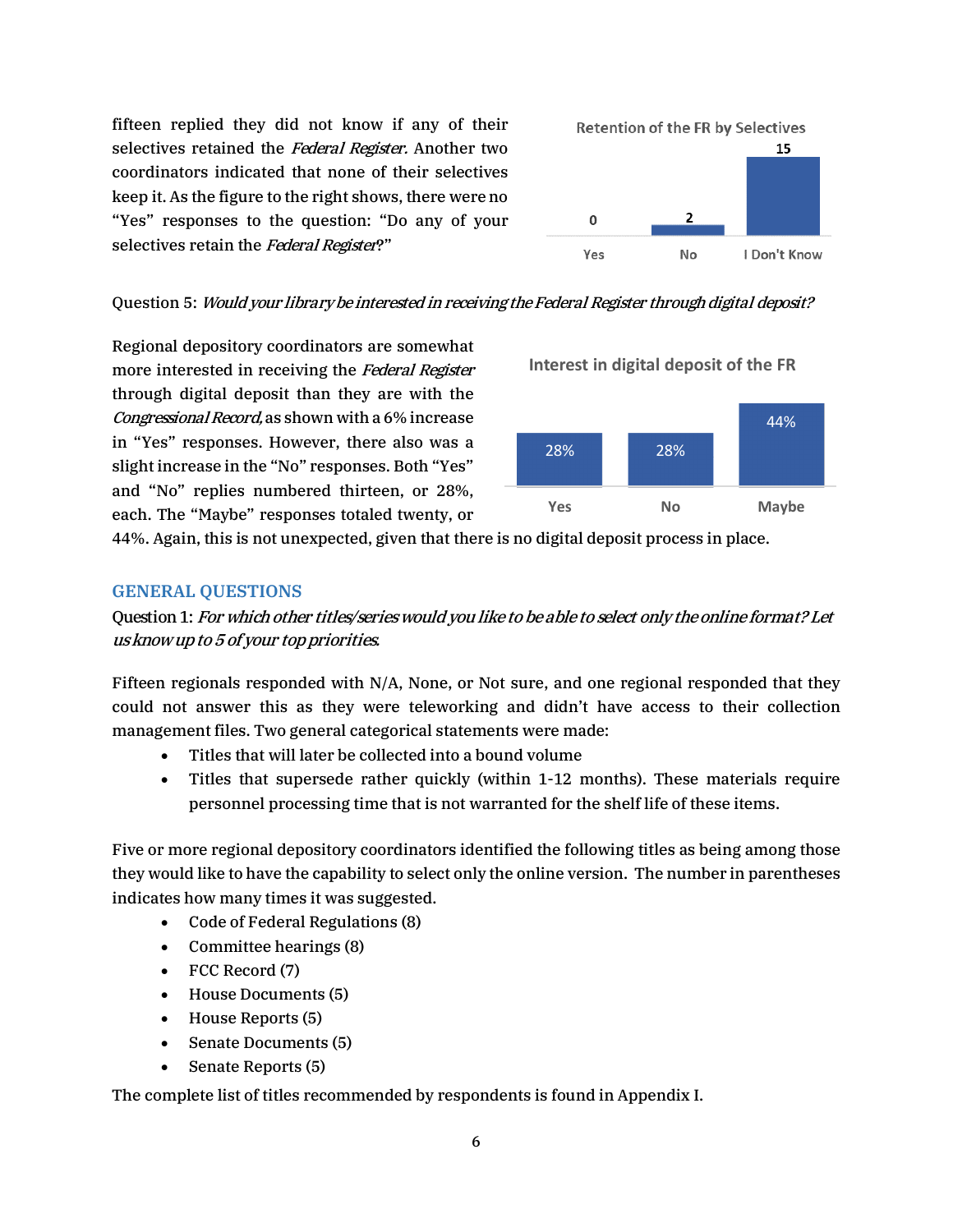fifteen replied they did not know if any of their selectives retained the Federal Register. Another two coordinators indicated that none of their selectives keep it. As the figure to the right shows, there were no "Yes" responses to the question: "Do any of your selectives retain the Federal Register?"



Question 5: Would your library be interested in receiving the Federal Register through digital deposit?

Regional depository coordinators are somewhat more interested in receiving the Federal Register through digital deposit than they are with the Congressional Record,as shown with a 6% increase in "Yes" responses. However, there also was a slight increase in the "No" responses. Both "Yes" and "No" replies numbered thirteen, or 28%, each. The "Maybe" responses totaled twenty, or

**Interest in digital deposit of the FR**



44%. Again, this is not unexpected, given that there is no digital deposit process in place.

#### <span id="page-7-0"></span>**GENERAL QUESTIONS**

Question 1: For which other titles/series would you like to be able to select only the online format? Let us know up to 5 of your top priorities.

Fifteen regionals responded with N/A, None, or Not sure, and one regional responded that they could not answer this as they were teleworking and didn't have access to their collection management files. Two general categorical statements were made:

- Titles that will later be collected into a bound volume
- Titles that supersede rather quickly (within 1-12 months). These materials require personnel processing time that is not warranted for the shelf life of these items.

Five or more regional depository coordinators identified the following titles as being among those they would like to have the capability to select only the online version. The number in parentheses indicates how many times it was suggested.

- Code of Federal Regulations (8)
- Committee hearings (8)
- FCC Record (7)
- House Documents (5)
- House Reports (5)
- Senate Documents (5)
- Senate Reports (5)

The complete list of titles recommended by respondents is found in Appendix I.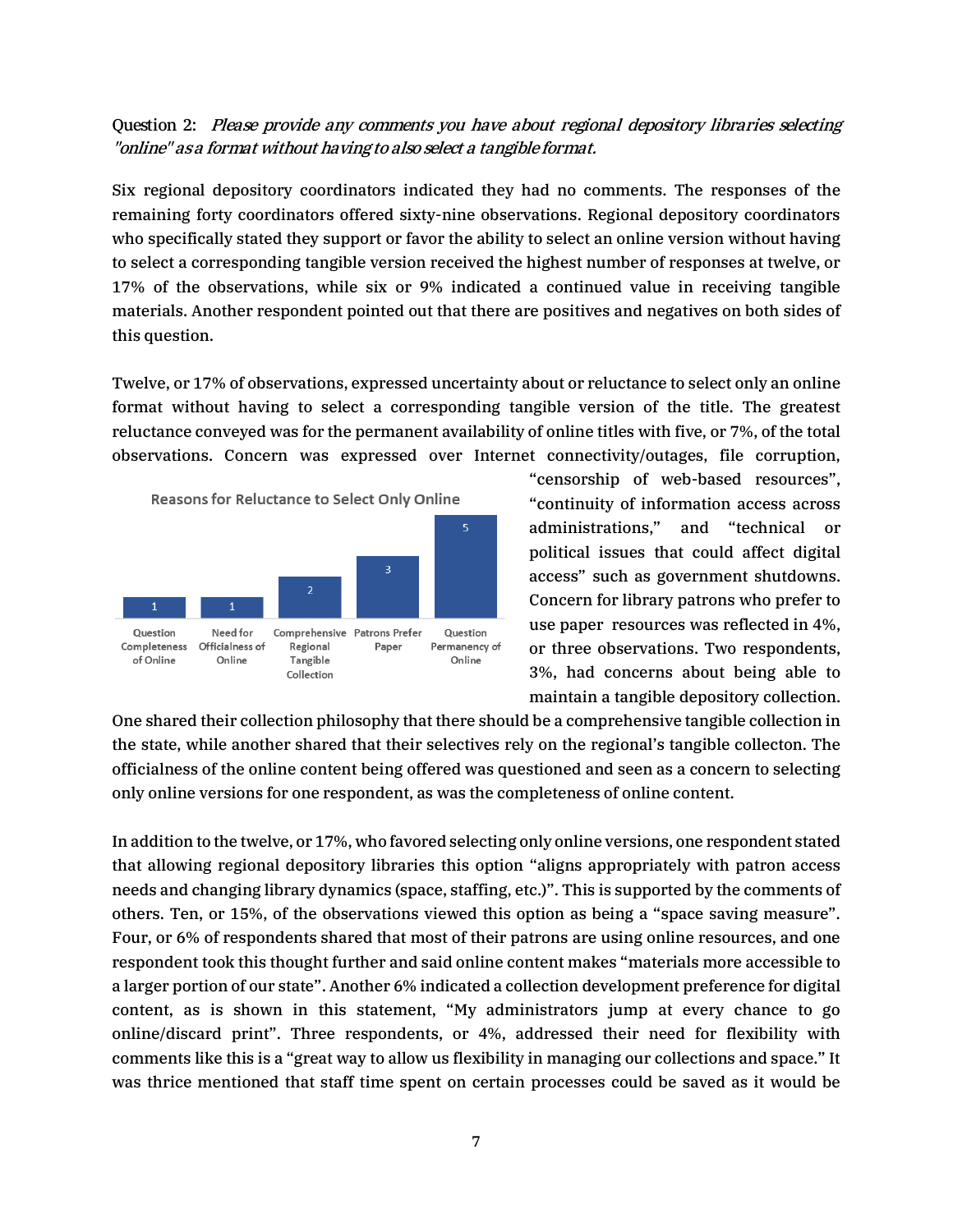### Question 2: Please provide any comments you have about regional depository libraries selecting "online" as a format without having to also select a tangible format.

Six regional depository coordinators indicated they had no comments. The responses of the remaining forty coordinators offered sixty-nine observations. Regional depository coordinators who specifically stated they support or favor the ability to select an online version without having to select a corresponding tangible version received the highest number of responses at twelve, or 17% of the observations, while six or 9% indicated a continued value in receiving tangible materials. Another respondent pointed out that there are positives and negatives on both sides of this question.

Twelve, or 17% of observations, expressed uncertainty about or reluctance to select only an online format without having to select a corresponding tangible version of the title. The greatest reluctance conveyed was for the permanent availability of online titles with five, or 7%, of the total observations. Concern was expressed over Internet connectivity/outages, file corruption,



"censorship of web-based resources", "continuity of information access across administrations," and "technical or political issues that could affect digital access" such as government shutdowns. Concern for library patrons who prefer to use paper resources was reflected in 4%, or three observations. Two respondents, 3%, had concerns about being able to maintain a tangible depository collection.

One shared their collection philosophy that there should be a comprehensive tangible collection in the state, while another shared that their selectives rely on the regional's tangible collecton. The officialness of the online content being offered was questioned and seen as a concern to selecting only online versions for one respondent, as was the completeness of online content.

In addition to the twelve, or 17%, who favored selecting only online versions, one respondent stated that allowing regional depository libraries this option "aligns appropriately with patron access needs and changing library dynamics (space, staffing, etc.)". This is supported by the comments of others. Ten, or 15%, of the observations viewed this option as being a "space saving measure". Four, or 6% of respondents shared that most of their patrons are using online resources, and one respondent took this thought further and said online content makes "materials more accessible to a larger portion of our state". Another 6% indicated a collection development preference for digital content, as is shown in this statement, "My administrators jump at every chance to go online/discard print". Three respondents, or 4%, addressed their need for flexibility with comments like this is a "great way to allow us flexibility in managing our collections and space." It was thrice mentioned that staff time spent on certain processes could be saved as it would be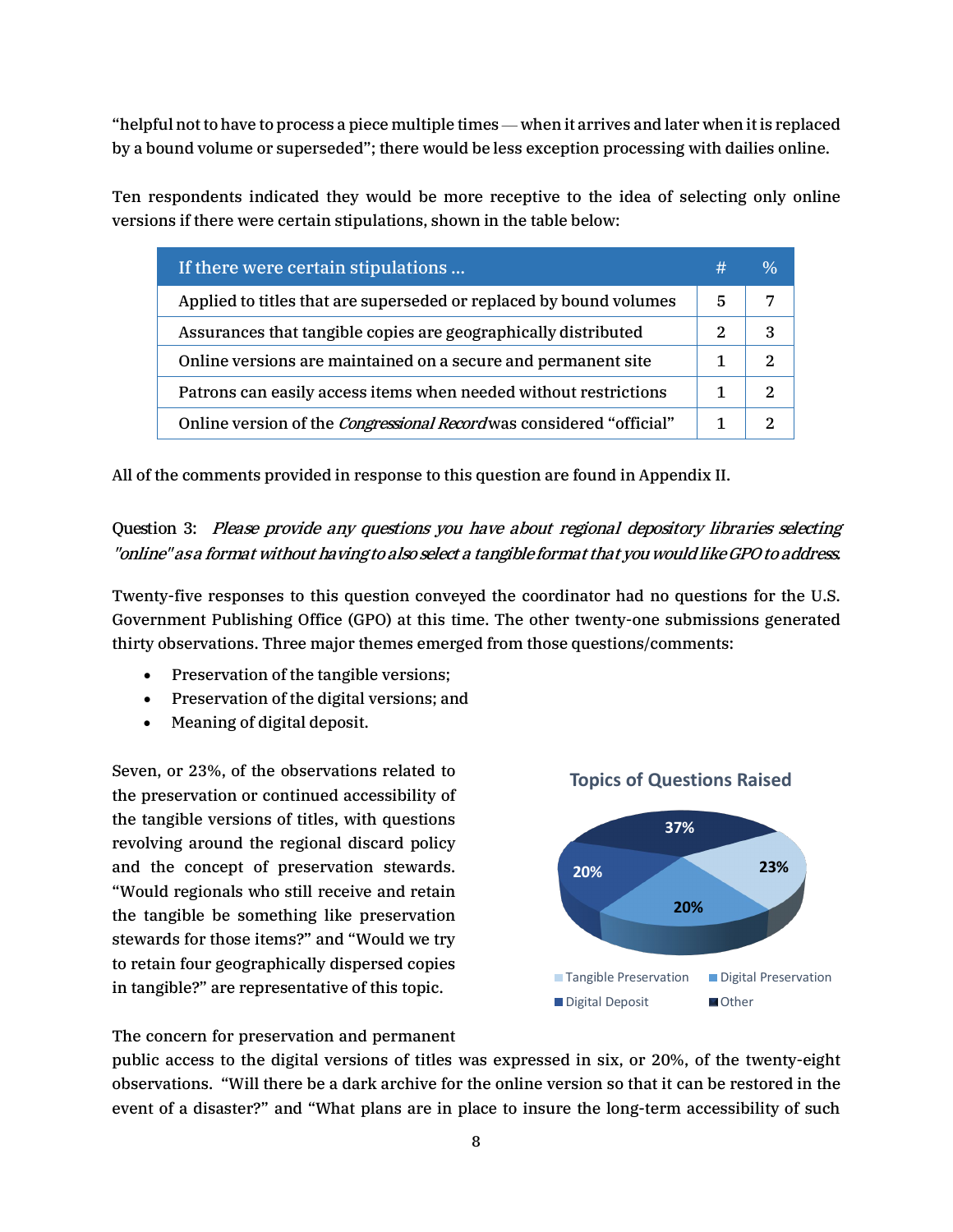"helpful not to have to process a piece multiple times — when it arrives and later when it is replaced by a bound volume or superseded"; there would be less exception processing with dailies online.

Ten respondents indicated they would be more receptive to the idea of selecting only online versions if there were certain stipulations, shown in the table below:

| If there were certain stipulations                                          | ÆŦ | % |
|-----------------------------------------------------------------------------|----|---|
| Applied to titles that are superseded or replaced by bound volumes          | 5  | 7 |
| Assurances that tangible copies are geographically distributed              | 2  | 3 |
| Online versions are maintained on a secure and permanent site               |    | 2 |
| Patrons can easily access items when needed without restrictions            |    |   |
| Online version of the <i>Congressional Record</i> was considered "official" |    |   |

All of the comments provided in response to this question are found in Appendix II.

### Question 3: Please provide any questions you have about regional depository libraries selecting "online" as a format without having to also select a tangible format that you would like GPO to address.

Twenty-five responses to this question conveyed the coordinator had no questions for the U.S. Government Publishing Office (GPO) at this time. The other twenty-one submissions generated thirty observations. Three major themes emerged from those questions/comments:

- Preservation of the tangible versions;
- Preservation of the digital versions; and
- Meaning of digital deposit.

Seven, or 23%, of the observations related to the preservation or continued accessibility of the tangible versions of titles, with questions revolving around the regional discard policy and the concept of preservation stewards. "Would regionals who still receive and retain the tangible be something like preservation stewards for those items?" and "Would we try to retain four geographically dispersed copies in tangible?" are representative of this topic.

The concern for preservation and permanent



public access to the digital versions of titles was expressed in six, or 20%, of the twenty-eight observations. "Will there be a dark archive for the online version so that it can be restored in the event of a disaster?" and "What plans are in place to insure the long-term accessibility of such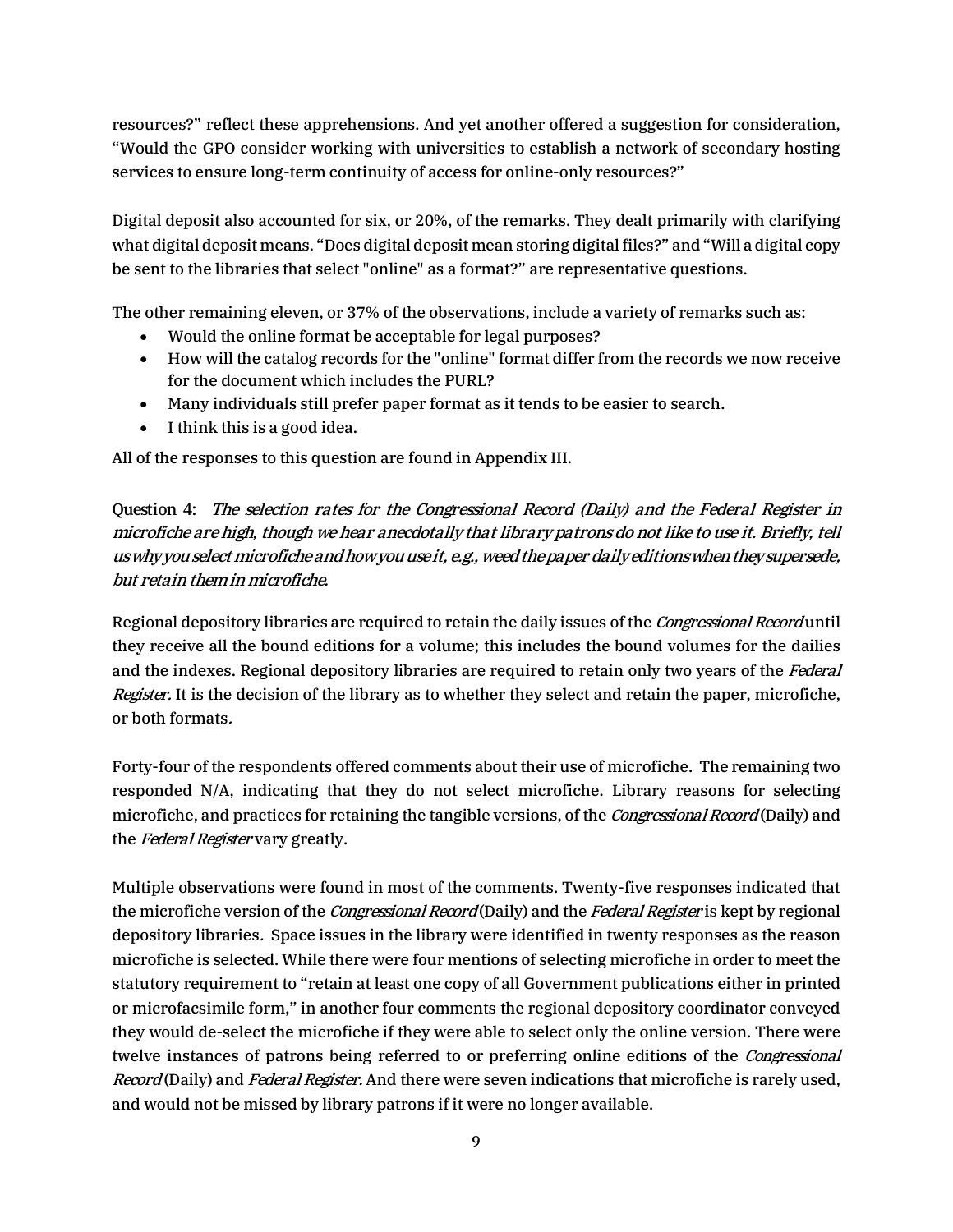resources?" reflect these apprehensions. And yet another offered a suggestion for consideration, "Would the GPO consider working with universities to establish a network of secondary hosting services to ensure long-term continuity of access for online-only resources?"

Digital deposit also accounted for six, or 20%, of the remarks. They dealt primarily with clarifying what digital deposit means. "Does digital deposit mean storing digital files?" and "Will a digital copy be sent to the libraries that select "online" as a format?" are representative questions.

The other remaining eleven, or 37% of the observations, include a variety of remarks such as:

- Would the online format be acceptable for legal purposes?
- How will the catalog records for the "online" format differ from the records we now receive for the document which includes the PURL?
- Many individuals still prefer paper format as it tends to be easier to search.
- I think this is a good idea.

All of the responses to this question are found in Appendix III.

Question 4: The selection rates for the Congressional Record (Daily) and the Federal Register in microfiche are high, though we hear anecdotally that library patrons do not like to use it. Briefly, tell us why you select microfiche and how you use it, e.g., weed the paper daily editions when they supersede, but retain them in microfiche.

Regional depository libraries are required to retain the daily issues of the *Congressional Record* until they receive all the bound editions for a volume; this includes the bound volumes for the dailies and the indexes. Regional depository libraries are required to retain only two years of the Federal Register. It is the decision of the library as to whether they select and retain the paper, microfiche, or both formats.

Forty-four of the respondents offered comments about their use of microfiche. The remaining two responded N/A, indicating that they do not select microfiche. Library reasons for selecting microfiche, and practices for retaining the tangible versions, of the *Congressional Record* (Daily) and the Federal Register vary greatly.

Multiple observations were found in most of the comments. Twenty-five responses indicated that the microfiche version of the *Congressional Record* (Daily) and the *Federal Register* is kept by regional depository libraries. Space issues in the library were identified in twenty responses as the reason microfiche is selected. While there were four mentions of selecting microfiche in order to meet the statutory requirement to "retain at least one copy of all Government publications either in printed or microfacsimile form," in another four comments the regional depository coordinator conveyed they would de-select the microfiche if they were able to select only the online version. There were twelve instances of patrons being referred to or preferring online editions of the *Congressional* Record (Daily) and Federal Register. And there were seven indications that microfiche is rarely used, and would not be missed by library patrons if it were no longer available.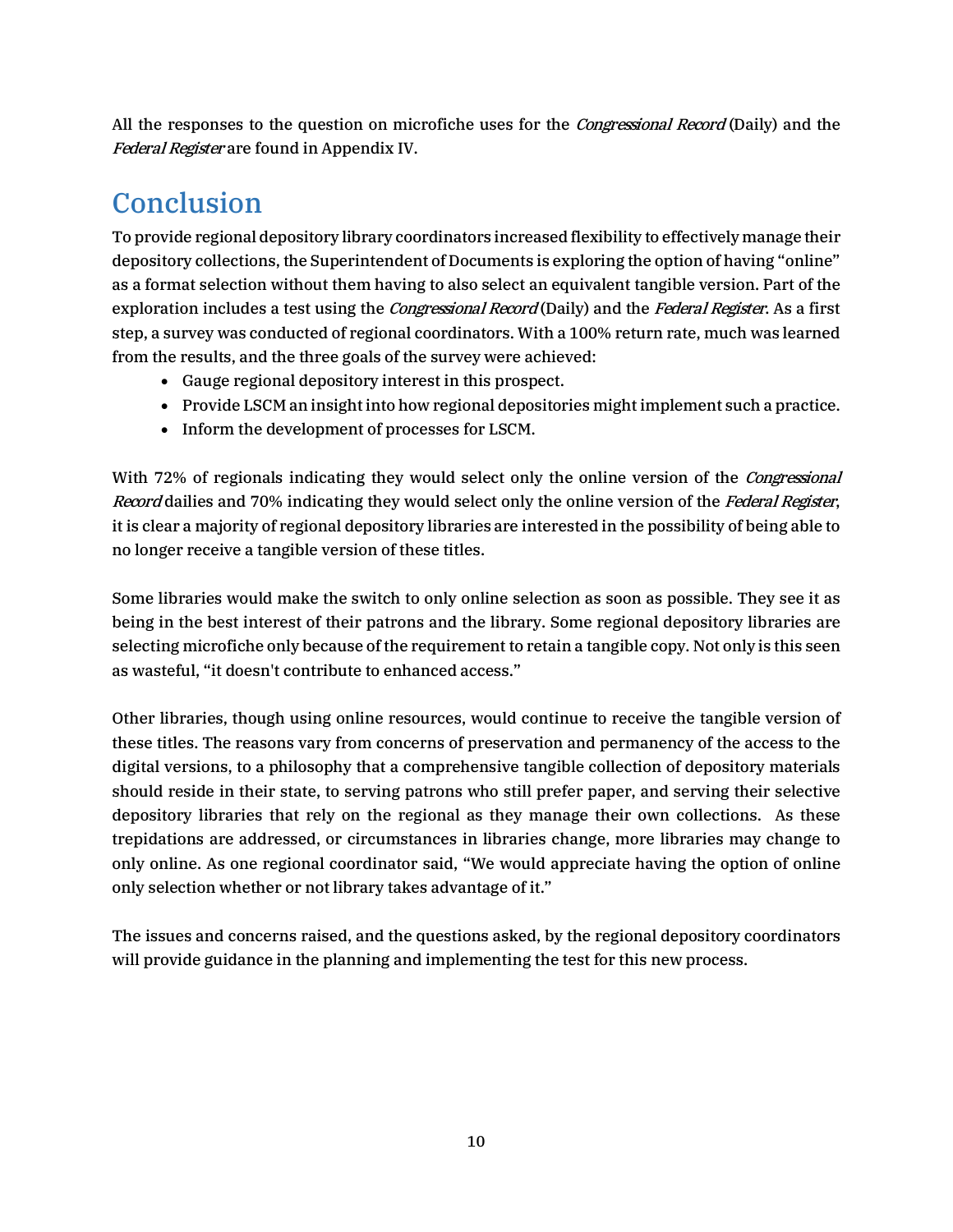All the responses to the question on microfiche uses for the *Congressional Record* (Daily) and the Federal Register are found in Appendix IV.

## <span id="page-11-0"></span>Conclusion

To provide regional depository library coordinators increased flexibility to effectively manage their depository collections, the Superintendent of Documents is exploring the option of having "online" as a format selection without them having to also select an equivalent tangible version. Part of the exploration includes a test using the *Congressional Record* (Daily) and the *Federal Register*. As a first step, a survey was conducted of regional coordinators. With a 100% return rate, much was learned from the results, and the three goals of the survey were achieved:

- Gauge regional depository interest in this prospect.
- Provide LSCM an insight into how regional depositories might implement such a practice.
- Inform the development of processes for LSCM.

With 72% of regionals indicating they would select only the online version of the *Congressional* Record dailies and 70% indicating they would select only the online version of the Federal Register, it is clear a majority of regional depository libraries are interested in the possibility of being able to no longer receive a tangible version of these titles.

Some libraries would make the switch to only online selection as soon as possible. They see it as being in the best interest of their patrons and the library. Some regional depository libraries are selecting microfiche only because of the requirement to retain a tangible copy. Not only is this seen as wasteful, "it doesn't contribute to enhanced access."

Other libraries, though using online resources, would continue to receive the tangible version of these titles. The reasons vary from concerns of preservation and permanency of the access to the digital versions, to a philosophy that a comprehensive tangible collection of depository materials should reside in their state, to serving patrons who still prefer paper, and serving their selective depository libraries that rely on the regional as they manage their own collections. As these trepidations are addressed, or circumstances in libraries change, more libraries may change to only online. As one regional coordinator said, "We would appreciate having the option of online only selection whether or not library takes advantage of it."

The issues and concerns raised, and the questions asked, by the regional depository coordinators will provide guidance in the planning and implementing the test for this new process.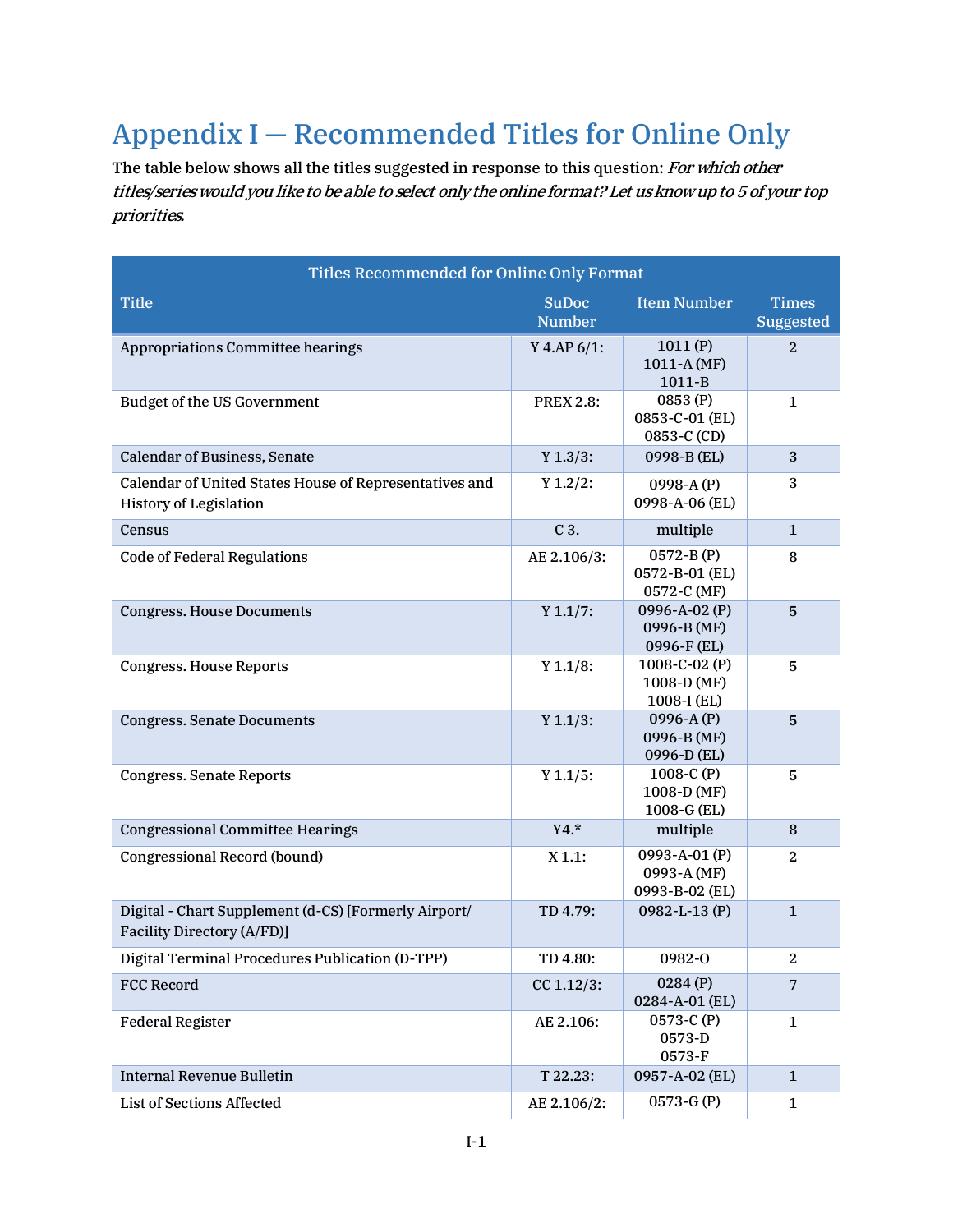# <span id="page-12-0"></span>Appendix I — Recommended Titles for Online Only

The table below shows all the titles suggested in response to this question: For which other titles/series would you like to be able to select only the online format? Let us know up to 5 of your top priorities.

| <b>Titles Recommended for Online Only Format</b>                                        |                               |                                                |                           |  |
|-----------------------------------------------------------------------------------------|-------------------------------|------------------------------------------------|---------------------------|--|
| <b>Title</b>                                                                            | <b>SuDoc</b><br><b>Number</b> | <b>Item Number</b>                             | Times<br><b>Suggested</b> |  |
| <b>Appropriations Committee hearings</b>                                                | $Y$ 4.AP $6/1$ :              | 1011(P)<br>1011-A (MF)<br>1011-B               | $\overline{2}$            |  |
| Budget of the US Government                                                             | <b>PREX 2.8:</b>              | 0853 (P)<br>0853-C-01 (EL)<br>0853-C (CD)      | $\mathbf{1}$              |  |
| <b>Calendar of Business, Senate</b>                                                     | Y 1.3/3:                      | 0998-B (EL)                                    | 3                         |  |
| Calendar of United States House of Representatives and<br><b>History of Legislation</b> | Y 1.2/2:                      | $0998 - A(P)$<br>0998-A-06 (EL)                | 3                         |  |
| Census                                                                                  | $C3$ .                        | multiple                                       | $\mathbf{1}$              |  |
| <b>Code of Federal Regulations</b>                                                      | AE 2.106/3:                   | $0572 - B(P)$<br>0572-B-01 (EL)<br>0572-C (MF) | 8                         |  |
| <b>Congress. House Documents</b>                                                        | Y 1.1/7:                      | 0996-A-02 (P)<br>0996-B (MF)<br>0996-F (EL)    | 5                         |  |
| <b>Congress. House Reports</b>                                                          | Y 1.1/8:                      | 1008-C-02 $(P)$<br>1008-D (MF)<br>1008-I (EL)  | 5                         |  |
| <b>Congress. Senate Documents</b>                                                       | Y 1.1/3:                      | 0996-A $(P)$<br>0996-B (MF)<br>0996-D (EL)     | 5                         |  |
| <b>Congress. Senate Reports</b>                                                         | Y 1.1/5:                      | 1008-C $(P)$<br>1008-D (MF)<br>1008-G (EL)     | 5                         |  |
| <b>Congressional Committee Hearings</b>                                                 | $Y4.*$                        | multiple                                       | 8                         |  |
| <b>Congressional Record (bound)</b>                                                     | X 1.1:                        | 0993-A-01 (P)<br>0993-A (MF)<br>0993-B-02 (EL) | $\mathbf{2}$              |  |
| Digital - Chart Supplement (d-CS) [Formerly Airport/<br>Facility Directory (A/FD)]      | TD 4.79:                      | 0982-L-13 (P)                                  | $\mathbf{1}$              |  |
| Digital Terminal Procedures Publication (D-TPP)                                         | TD 4.80:                      | 0982-0                                         | 2                         |  |
| <b>FCC Record</b>                                                                       | $CC 1.12/3$ :                 | 0284(P)<br>0284-A-01 (EL)                      | 7                         |  |
| <b>Federal Register</b>                                                                 | AE 2.106:                     | 0573-C (P)<br>0573-D<br>0573-F                 | $\mathbf{1}$              |  |
| <b>Internal Revenue Bulletin</b>                                                        | T 22.23:                      | 0957-A-02 (EL)                                 | $\mathbf{1}$              |  |
| List of Sections Affected                                                               | AE 2.106/2:                   | $0573-G(P)$                                    | $\mathbf{1}$              |  |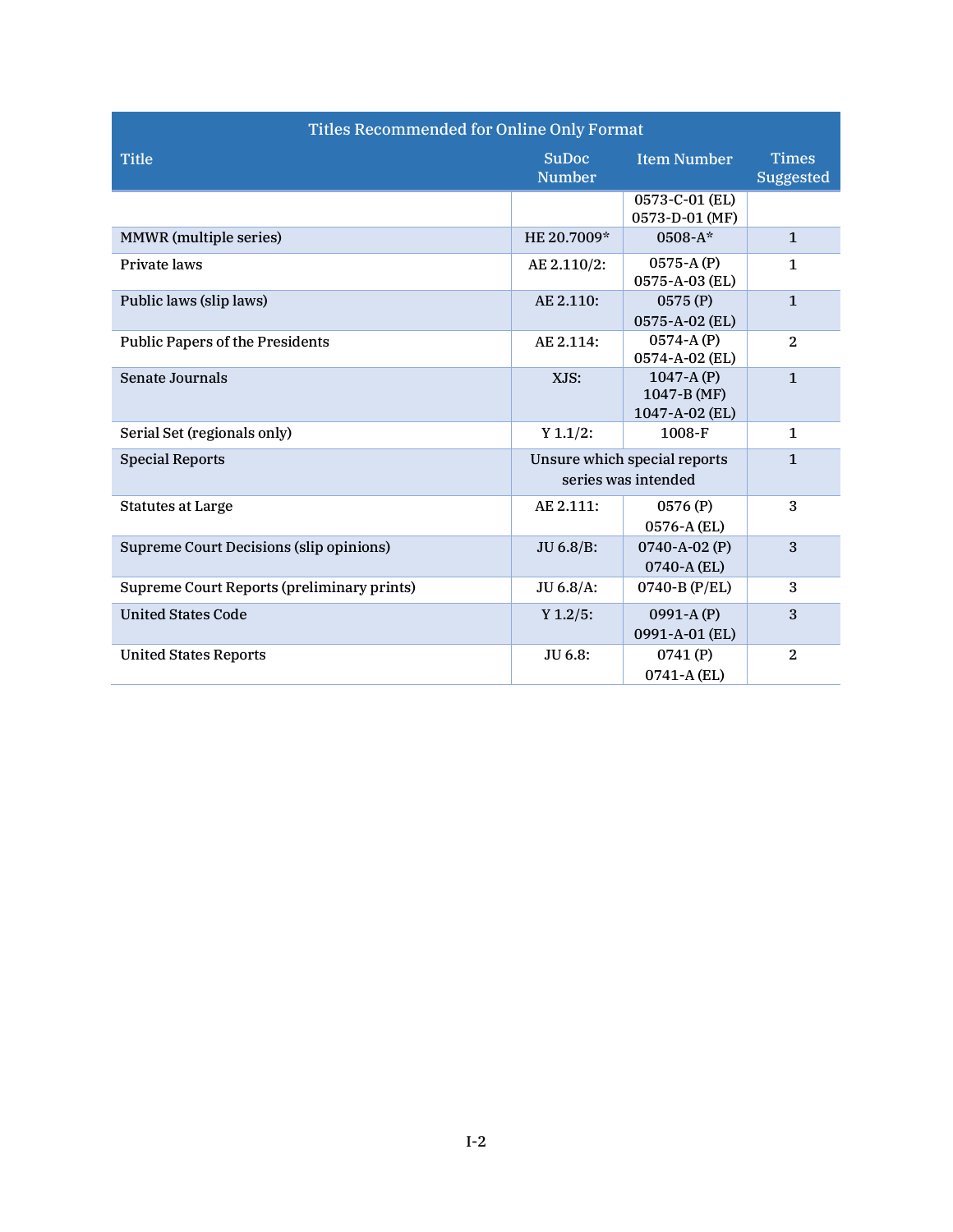| Titles Recommended for Online Only Format  |                                                     |                                              |                           |  |  |
|--------------------------------------------|-----------------------------------------------------|----------------------------------------------|---------------------------|--|--|
| <b>Title</b>                               | <b>SuDoc</b><br><b>Number</b>                       | <b>Item Number</b>                           | <b>Times</b><br>Suggested |  |  |
|                                            |                                                     | 0573-C-01 (EL)<br>0573-D-01 (MF)             |                           |  |  |
| <b>MMWR</b> (multiple series)              | HE 20.7009*                                         | 0508-A*                                      | $\mathbf{1}$              |  |  |
| Private laws                               | AE 2.110/2:                                         | $0575-A(P)$<br>0575-A-03 (EL)                | $\mathbf{1}$              |  |  |
| Public laws (slip laws)                    | AE 2.110:                                           | 0575(P)<br>0575-A-02 (EL)                    | $\mathbf{1}$              |  |  |
| <b>Public Papers of the Presidents</b>     | AE 2.114:                                           | $0574 - A(P)$<br>0574-A-02 (EL)              | $\overline{2}$            |  |  |
| <b>Senate Journals</b>                     | XJS:                                                | $1047-A(P)$<br>1047-B (MF)<br>1047-A-02 (EL) | $\mathbf{1}$              |  |  |
| Serial Set (regionals only)                | Y 1.1/2:                                            | 1008-F                                       | $\mathbf{1}$              |  |  |
| <b>Special Reports</b>                     | Unsure which special reports<br>series was intended |                                              | $\mathbf{1}$              |  |  |
| <b>Statutes at Large</b>                   | AE 2.111:                                           | 0576(P)<br>0576-A (EL)                       | 3                         |  |  |
| Supreme Court Decisions (slip opinions)    | JU 6.8/B:                                           | 0740-A-02 (P)<br>0740-A (EL)                 | 3                         |  |  |
| Supreme Court Reports (preliminary prints) | JU 6.8/A:                                           | $0740 - B (P/EL)$                            | 3                         |  |  |
| <b>United States Code</b>                  | Y 1.2/5:                                            | $0991-A(P)$<br>0991-A-01 (EL)                | 3                         |  |  |
| <b>United States Reports</b>               | JU 6.8:                                             | 0741(P)<br>0741-A (EL)                       | $\overline{2}$            |  |  |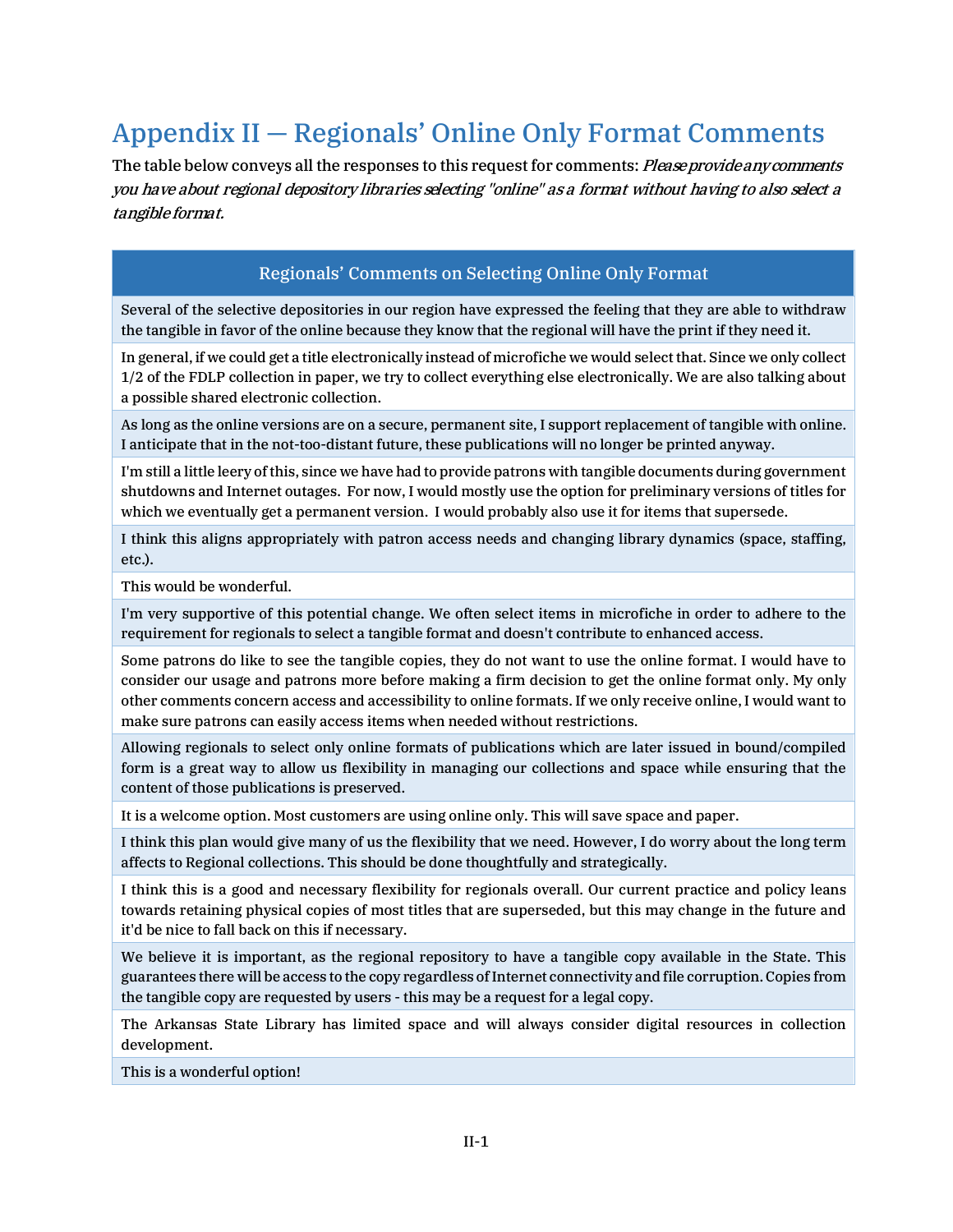## <span id="page-14-0"></span>Appendix II — Regionals' Online Only Format Comments

The table below conveys all the responses to this request for comments: *Please provide any comments* you have about regional depository libraries selecting "online" as a format without having to also select a tangible format.

### Regionals' Comments on Selecting Online Only Format

Several of the selective depositories in our region have expressed the feeling that they are able to withdraw the tangible in favor of the online because they know that the regional will have the print if they need it.

In general, if we could get a title electronically instead of microfiche we would select that. Since we only collect 1/2 of the FDLP collection in paper, we try to collect everything else electronically. We are also talking about a possible shared electronic collection.

As long as the online versions are on a secure, permanent site, I support replacement of tangible with online. I anticipate that in the not-too-distant future, these publications will no longer be printed anyway.

I'm still a little leery of this, since we have had to provide patrons with tangible documents during government shutdowns and Internet outages. For now, I would mostly use the option for preliminary versions of titles for which we eventually get a permanent version. I would probably also use it for items that supersede.

I think this aligns appropriately with patron access needs and changing library dynamics (space, staffing, etc.).

This would be wonderful.

I'm very supportive of this potential change. We often select items in microfiche in order to adhere to the requirement for regionals to select a tangible format and doesn't contribute to enhanced access.

Some patrons do like to see the tangible copies, they do not want to use the online format. I would have to consider our usage and patrons more before making a firm decision to get the online format only. My only other comments concern access and accessibility to online formats. If we only receive online, I would want to make sure patrons can easily access items when needed without restrictions.

Allowing regionals to select only online formats of publications which are later issued in bound/compiled form is a great way to allow us flexibility in managing our collections and space while ensuring that the content of those publications is preserved.

It is a welcome option. Most customers are using online only. This will save space and paper.

I think this plan would give many of us the flexibility that we need. However, I do worry about the long term affects to Regional collections. This should be done thoughtfully and strategically.

I think this is a good and necessary flexibility for regionals overall. Our current practice and policy leans towards retaining physical copies of most titles that are superseded, but this may change in the future and it'd be nice to fall back on this if necessary.

We believe it is important, as the regional repository to have a tangible copy available in the State. This guarantees there will be access to the copy regardless of Internet connectivity and file corruption. Copies from the tangible copy are requested by users - this may be a request for a legal copy.

The Arkansas State Library has limited space and will always consider digital resources in collection development.

This is a wonderful option!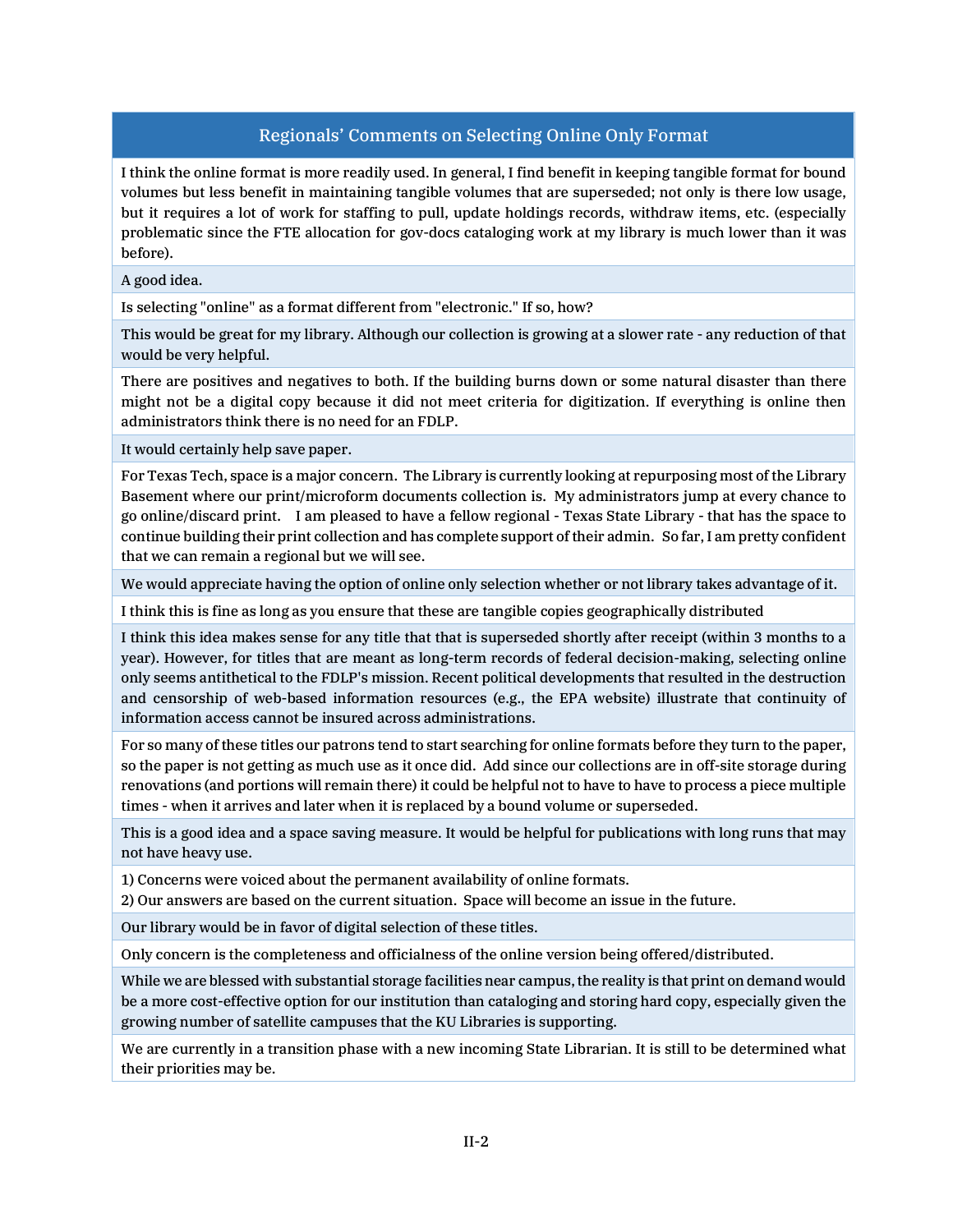### Regionals' Comments on Selecting Online Only Format

I think the online format is more readily used. In general, I find benefit in keeping tangible format for bound volumes but less benefit in maintaining tangible volumes that are superseded; not only is there low usage, but it requires a lot of work for staffing to pull, update holdings records, withdraw items, etc. (especially problematic since the FTE allocation for gov-docs cataloging work at my library is much lower than it was before).

#### A good idea.

Is selecting "online" as a format different from "electronic." If so, how?

This would be great for my library. Although our collection is growing at a slower rate - any reduction of that would be very helpful.

There are positives and negatives to both. If the building burns down or some natural disaster than there might not be a digital copy because it did not meet criteria for digitization. If everything is online then administrators think there is no need for an FDLP.

It would certainly help save paper.

For Texas Tech, space is a major concern. The Library is currently looking at repurposing most of the Library Basement where our print/microform documents collection is. My administrators jump at every chance to go online/discard print. I am pleased to have a fellow regional - Texas State Library - that has the space to continue building their print collection and has complete support of their admin. So far, I am pretty confident that we can remain a regional but we will see.

We would appreciate having the option of online only selection whether or not library takes advantage of it.

I think this is fine as long as you ensure that these are tangible copies geographically distributed

I think this idea makes sense for any title that that is superseded shortly after receipt (within 3 months to a year). However, for titles that are meant as long-term records of federal decision-making, selecting online only seems antithetical to the FDLP's mission. Recent political developments that resulted in the destruction and censorship of web-based information resources (e.g., the EPA website) illustrate that continuity of information access cannot be insured across administrations.

For so many of these titles our patrons tend to start searching for online formats before they turn to the paper, so the paper is not getting as much use as it once did. Add since our collections are in off-site storage during renovations (and portions will remain there) it could be helpful not to have to have to process a piece multiple times - when it arrives and later when it is replaced by a bound volume or superseded.

This is a good idea and a space saving measure. It would be helpful for publications with long runs that may not have heavy use.

1) Concerns were voiced about the permanent availability of online formats.

2) Our answers are based on the current situation. Space will become an issue in the future.

Our library would be in favor of digital selection of these titles.

Only concern is the completeness and officialness of the online version being offered/distributed.

While we are blessed with substantial storage facilities near campus, the reality is that print on demand would be a more cost-effective option for our institution than cataloging and storing hard copy, especially given the growing number of satellite campuses that the KU Libraries is supporting.

We are currently in a transition phase with a new incoming State Librarian. It is still to be determined what their priorities may be.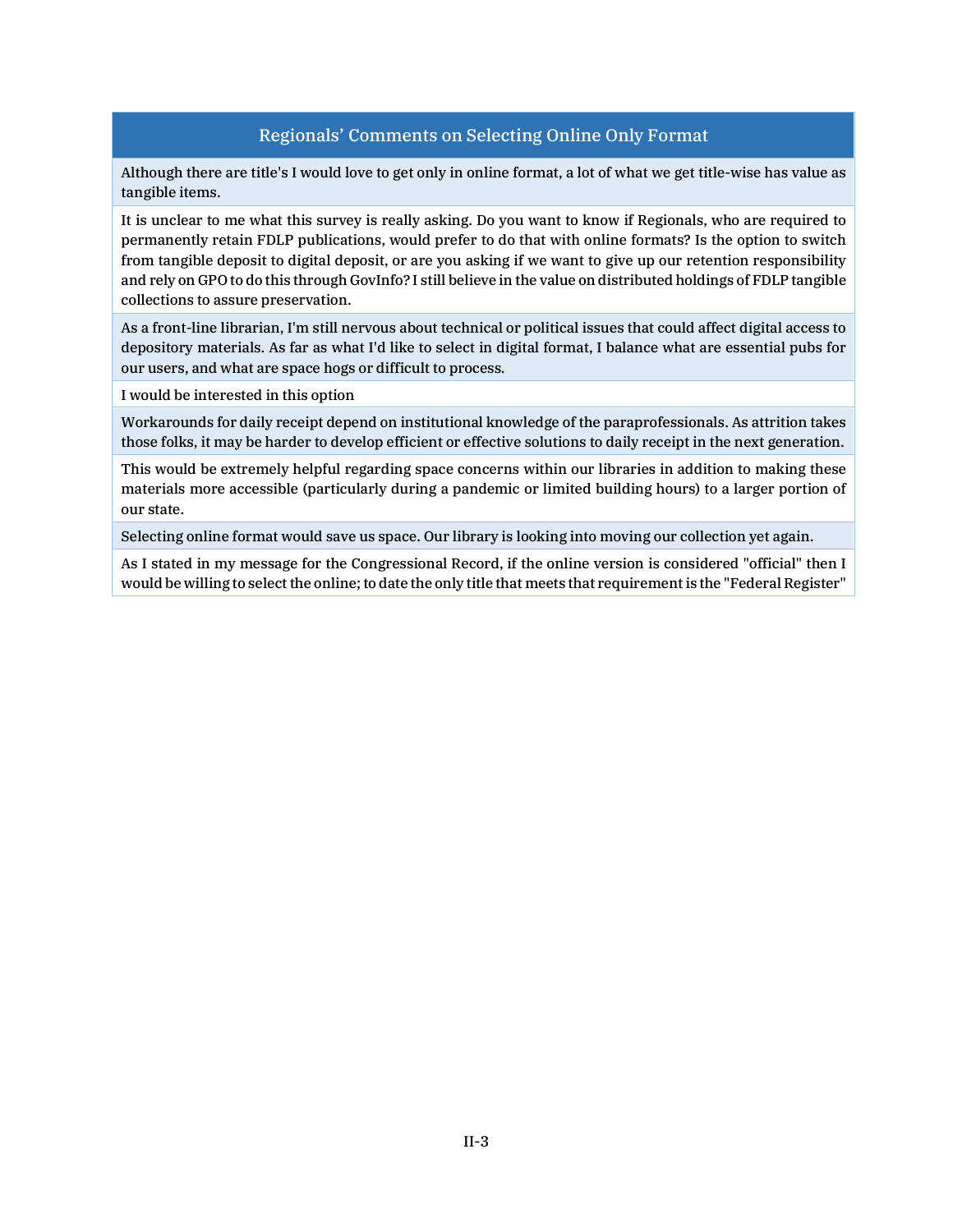### Regionals' Comments on Selecting Online Only Format

Although there are title's I would love to get only in online format, a lot of what we get title-wise has value as tangible items.

It is unclear to me what this survey is really asking. Do you want to know if Regionals, who are required to permanently retain FDLP publications, would prefer to do that with online formats? Is the option to switch from tangible deposit to digital deposit, or are you asking if we want to give up our retention responsibility and rely on GPO to do this through GovInfo? I still believe in the value on distributed holdings of FDLP tangible collections to assure preservation.

As a front-line librarian, I'm still nervous about technical or political issues that could affect digital access to depository materials. As far as what I'd like to select in digital format, I balance what are essential pubs for our users, and what are space hogs or difficult to process.

I would be interested in this option

Workarounds for daily receipt depend on institutional knowledge of the paraprofessionals. As attrition takes those folks, it may be harder to develop efficient or effective solutions to daily receipt in the next generation.

This would be extremely helpful regarding space concerns within our libraries in addition to making these materials more accessible (particularly during a pandemic or limited building hours) to a larger portion of our state.

Selecting online format would save us space. Our library is looking into moving our collection yet again.

As I stated in my message for the Congressional Record, if the online version is considered "official" then I would be willing to select the online; to date the only title that meets that requirement is the "Federal Register"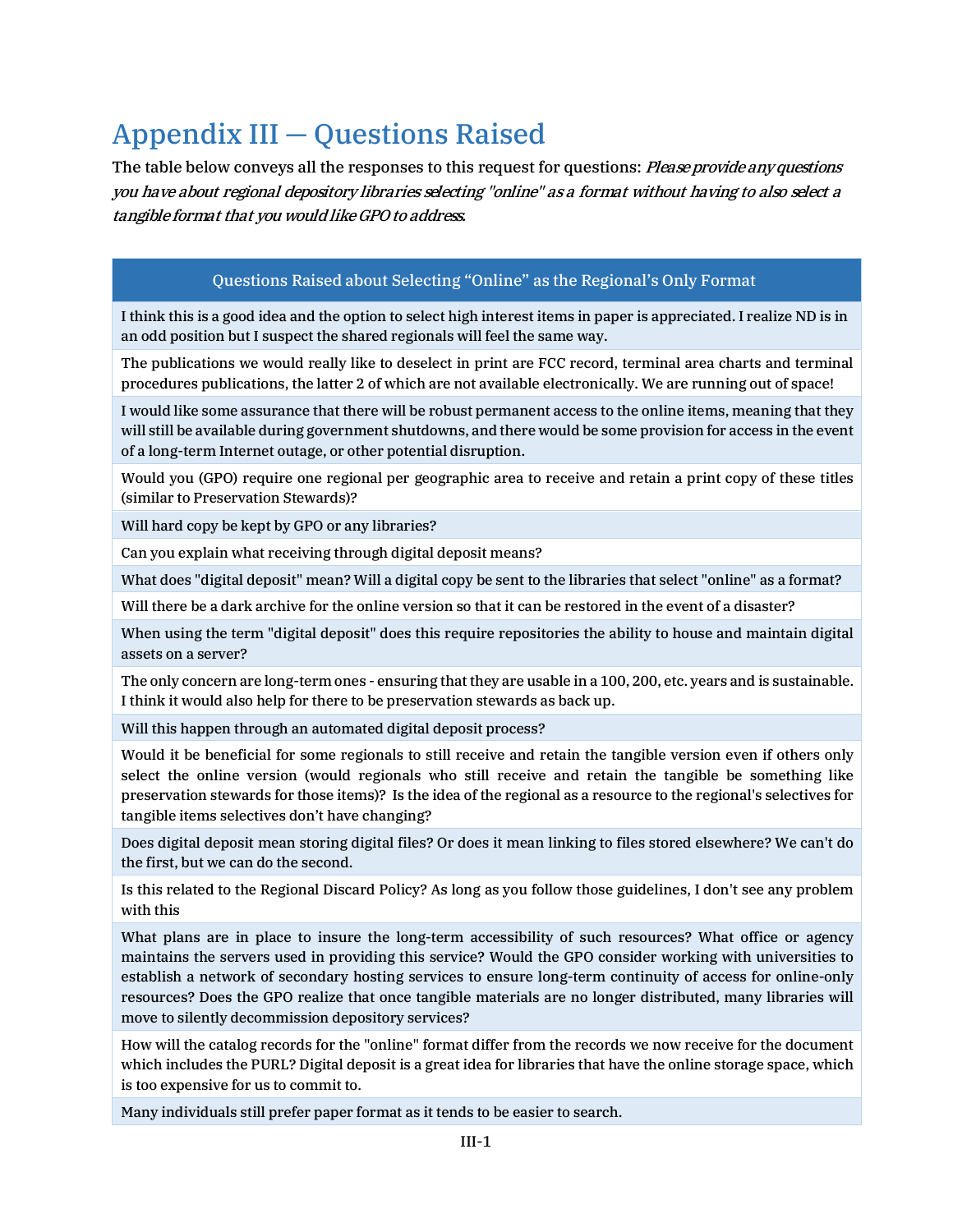# <span id="page-17-0"></span>Appendix III — Questions Raised

The table below conveys all the responses to this request for questions: *Please provide any questions* you have about regional depository libraries selecting "online" as a format without having to also select a tangible format that you would like GPO to address.

#### Questions Raised about Selecting "Online" as the Regional's Only Format

I think this is a good idea and the option to select high interest items in paper is appreciated. I realize ND is in an odd position but I suspect the shared regionals will feel the same way.

The publications we would really like to deselect in print are FCC record, terminal area charts and terminal procedures publications, the latter 2 of which are not available electronically. We are running out of space!

I would like some assurance that there will be robust permanent access to the online items, meaning that they will still be available during government shutdowns, and there would be some provision for access in the event of a long-term Internet outage, or other potential disruption.

Would you (GPO) require one regional per geographic area to receive and retain a print copy of these titles (similar to Preservation Stewards)?

Will hard copy be kept by GPO or any libraries?

Can you explain what receiving through digital deposit means?

What does "digital deposit" mean? Will a digital copy be sent to the libraries that select "online" as a format?

Will there be a dark archive for the online version so that it can be restored in the event of a disaster?

When using the term "digital deposit" does this require repositories the ability to house and maintain digital assets on a server?

The only concern are long-term ones - ensuring that they are usable in a 100, 200, etc. years and is sustainable. I think it would also help for there to be preservation stewards as back up.

Will this happen through an automated digital deposit process?

Would it be beneficial for some regionals to still receive and retain the tangible version even if others only select the online version (would regionals who still receive and retain the tangible be something like preservation stewards for those items)? Is the idea of the regional as a resource to the regional's selectives for tangible items selectives don't have changing?

Does digital deposit mean storing digital files? Or does it mean linking to files stored elsewhere? We can't do the first, but we can do the second.

Is this related to the Regional Discard Policy? As long as you follow those guidelines, I don't see any problem with this

What plans are in place to insure the long-term accessibility of such resources? What office or agency maintains the servers used in providing this service? Would the GPO consider working with universities to establish a network of secondary hosting services to ensure long-term continuity of access for online-only resources? Does the GPO realize that once tangible materials are no longer distributed, many libraries will move to silently decommission depository services?

How will the catalog records for the "online" format differ from the records we now receive for the document which includes the PURL? Digital deposit is a great idea for libraries that have the online storage space, which is too expensive for us to commit to.

Many individuals still prefer paper format as it tends to be easier to search.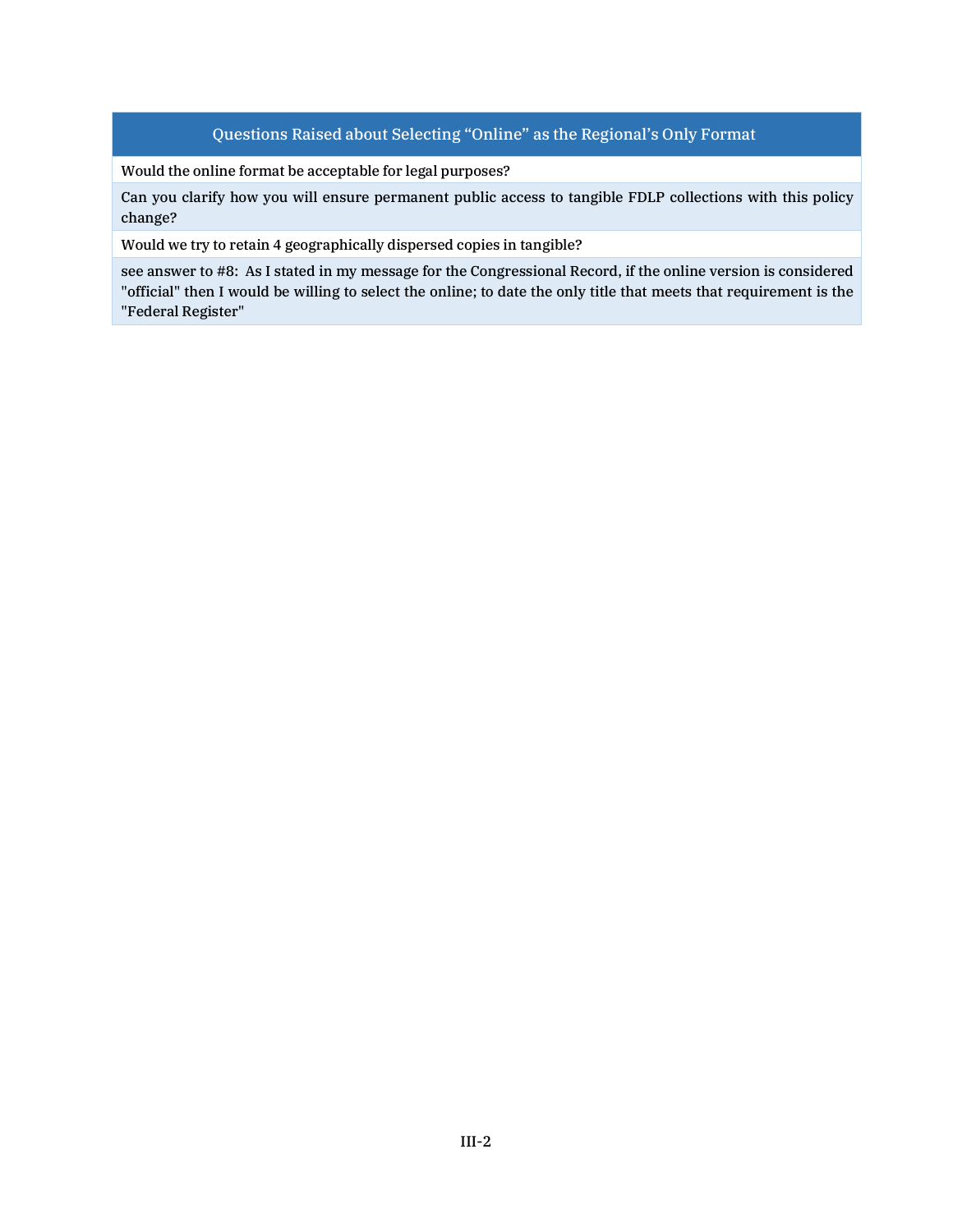#### Questions Raised about Selecting "Online" as the Regional's Only Format

Would the online format be acceptable for legal purposes?

Can you clarify how you will ensure permanent public access to tangible FDLP collections with this policy change?

Would we try to retain 4 geographically dispersed copies in tangible?

see answer to #8: As I stated in my message for the Congressional Record, if the online version is considered "official" then I would be willing to select the online; to date the only title that meets that requirement is the "Federal Register"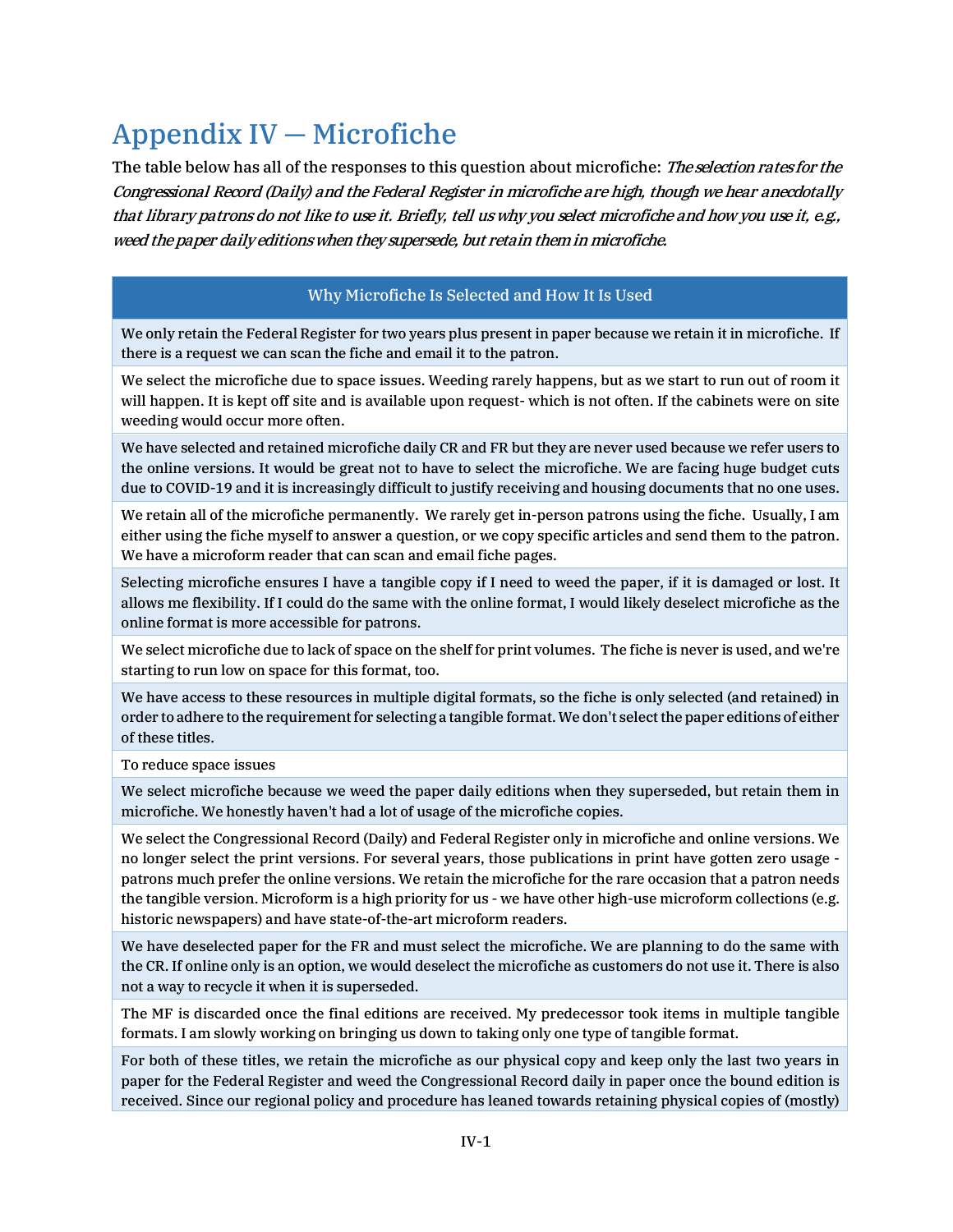# <span id="page-19-0"></span>Appendix IV — Microfiche

The table below has all of the responses to this question about microfiche: The selection rates for the Congressional Record (Daily) and the Federal Register in microfiche are high, though we hear anecdotally that library patrons do not like to use it. Briefly, tell us why you select microfiche and how you use it, e.g., weed the paper daily editions when they supersede, but retain them in microfiche.

### Why Microfiche Is Selected and How It Is Used

We only retain the Federal Register for two years plus present in paper because we retain it in microfiche. If there is a request we can scan the fiche and email it to the patron.

We select the microfiche due to space issues. Weeding rarely happens, but as we start to run out of room it will happen. It is kept off site and is available upon request- which is not often. If the cabinets were on site weeding would occur more often.

We have selected and retained microfiche daily CR and FR but they are never used because we refer users to the online versions. It would be great not to have to select the microfiche. We are facing huge budget cuts due to COVID-19 and it is increasingly difficult to justify receiving and housing documents that no one uses.

We retain all of the microfiche permanently. We rarely get in-person patrons using the fiche. Usually, I am either using the fiche myself to answer a question, or we copy specific articles and send them to the patron. We have a microform reader that can scan and email fiche pages.

Selecting microfiche ensures I have a tangible copy if I need to weed the paper, if it is damaged or lost. It allows me flexibility. If I could do the same with the online format, I would likely deselect microfiche as the online format is more accessible for patrons.

We select microfiche due to lack of space on the shelf for print volumes. The fiche is never is used, and we're starting to run low on space for this format, too.

We have access to these resources in multiple digital formats, so the fiche is only selected (and retained) in order to adhere to the requirement for selecting a tangible format. We don't select the paper editions of either of these titles.

To reduce space issues

We select microfiche because we weed the paper daily editions when they superseded, but retain them in microfiche. We honestly haven't had a lot of usage of the microfiche copies.

We select the Congressional Record (Daily) and Federal Register only in microfiche and online versions. We no longer select the print versions. For several years, those publications in print have gotten zero usage patrons much prefer the online versions. We retain the microfiche for the rare occasion that a patron needs the tangible version. Microform is a high priority for us - we have other high-use microform collections (e.g. historic newspapers) and have state-of-the-art microform readers.

We have deselected paper for the FR and must select the microfiche. We are planning to do the same with the CR. If online only is an option, we would deselect the microfiche as customers do not use it. There is also not a way to recycle it when it is superseded.

The MF is discarded once the final editions are received. My predecessor took items in multiple tangible formats. I am slowly working on bringing us down to taking only one type of tangible format.

For both of these titles, we retain the microfiche as our physical copy and keep only the last two years in paper for the Federal Register and weed the Congressional Record daily in paper once the bound edition is received. Since our regional policy and procedure has leaned towards retaining physical copies of (mostly)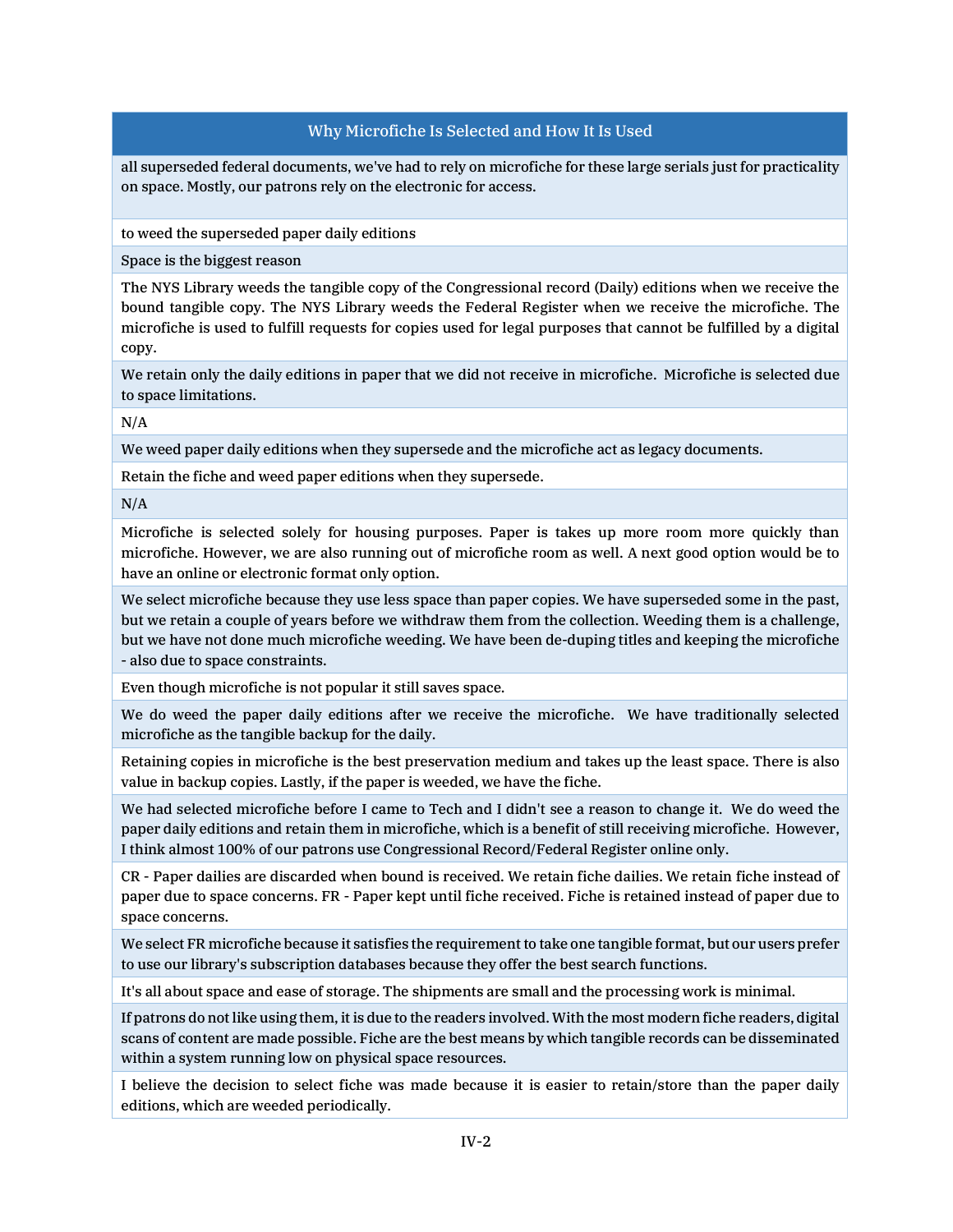### Why Microfiche Is Selected and How It Is Used

all superseded federal documents, we've had to rely on microfiche for these large serials just for practicality on space. Mostly, our patrons rely on the electronic for access.

to weed the superseded paper daily editions

Space is the biggest reason

The NYS Library weeds the tangible copy of the Congressional record (Daily) editions when we receive the bound tangible copy. The NYS Library weeds the Federal Register when we receive the microfiche. The microfiche is used to fulfill requests for copies used for legal purposes that cannot be fulfilled by a digital copy.

We retain only the daily editions in paper that we did not receive in microfiche. Microfiche is selected due to space limitations.

N/A

We weed paper daily editions when they supersede and the microfiche act as legacy documents.

Retain the fiche and weed paper editions when they supersede.

N/A

Microfiche is selected solely for housing purposes. Paper is takes up more room more quickly than microfiche. However, we are also running out of microfiche room as well. A next good option would be to have an online or electronic format only option.

We select microfiche because they use less space than paper copies. We have superseded some in the past, but we retain a couple of years before we withdraw them from the collection. Weeding them is a challenge, but we have not done much microfiche weeding. We have been de-duping titles and keeping the microfiche - also due to space constraints.

Even though microfiche is not popular it still saves space.

We do weed the paper daily editions after we receive the microfiche. We have traditionally selected microfiche as the tangible backup for the daily.

Retaining copies in microfiche is the best preservation medium and takes up the least space. There is also value in backup copies. Lastly, if the paper is weeded, we have the fiche.

We had selected microfiche before I came to Tech and I didn't see a reason to change it. We do weed the paper daily editions and retain them in microfiche, which is a benefit of still receiving microfiche. However, I think almost 100% of our patrons use Congressional Record/Federal Register online only.

CR - Paper dailies are discarded when bound is received. We retain fiche dailies. We retain fiche instead of paper due to space concerns. FR - Paper kept until fiche received. Fiche is retained instead of paper due to space concerns.

We select FR microfiche because it satisfies the requirement to take one tangible format, but our users prefer to use our library's subscription databases because they offer the best search functions.

It's all about space and ease of storage. The shipments are small and the processing work is minimal.

If patrons do not like using them, it is due to the readers involved. With the most modern fiche readers, digital scans of content are made possible. Fiche are the best means by which tangible records can be disseminated within a system running low on physical space resources.

I believe the decision to select fiche was made because it is easier to retain/store than the paper daily editions, which are weeded periodically.